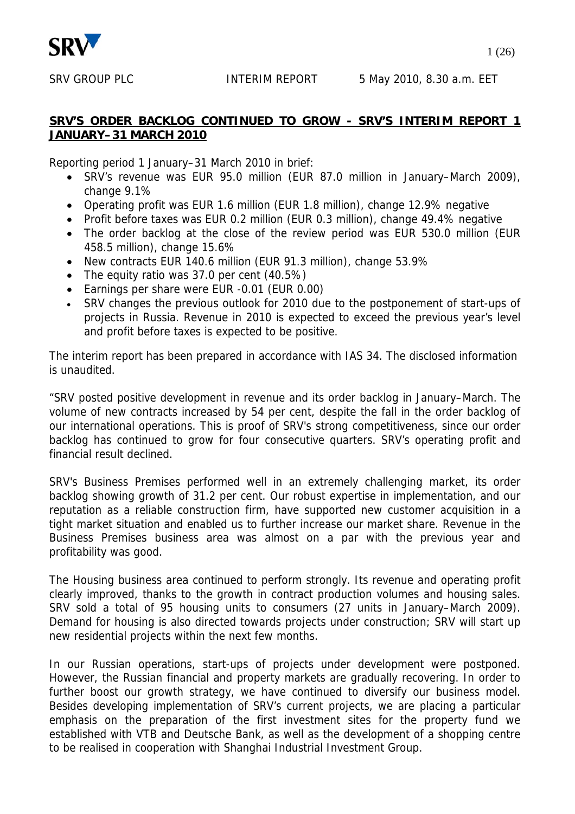

#### **SRV'S ORDER BACKLOG CONTINUED TO GROW - SRV'S INTERIM REPORT 1 JANUARY–31 MARCH 2010**

Reporting period 1 January–31 March 2010 in brief:

- SRV's revenue was EUR 95.0 million (EUR 87.0 million in January–March 2009), change 9.1%
- Operating profit was EUR 1.6 million (EUR 1.8 million), change 12.9% negative
- Profit before taxes was EUR 0.2 million (EUR 0.3 million), change 49.4% negative
- The order backlog at the close of the review period was EUR 530.0 million (EUR 458.5 million), change 15.6%
- New contracts EUR 140.6 million (EUR 91.3 million), change 53.9%
- The equity ratio was 37.0 per cent (40.5%)
- Earnings per share were EUR -0.01 (EUR 0.00)
- SRV changes the previous outlook for 2010 due to the postponement of start-ups of projects in Russia. Revenue in 2010 is expected to exceed the previous year's level and profit before taxes is expected to be positive.

The interim report has been prepared in accordance with IAS 34. The disclosed information is unaudited.

"SRV posted positive development in revenue and its order backlog in January–March. The volume of new contracts increased by 54 per cent, despite the fall in the order backlog of our international operations. This is proof of SRV's strong competitiveness, since our order backlog has continued to grow for four consecutive quarters. SRV's operating profit and financial result declined.

SRV's Business Premises performed well in an extremely challenging market, its order backlog showing growth of 31.2 per cent. Our robust expertise in implementation, and our reputation as a reliable construction firm, have supported new customer acquisition in a tight market situation and enabled us to further increase our market share. Revenue in the Business Premises business area was almost on a par with the previous year and profitability was good.

The Housing business area continued to perform strongly. Its revenue and operating profit clearly improved, thanks to the growth in contract production volumes and housing sales. SRV sold a total of 95 housing units to consumers (27 units in January–March 2009). Demand for housing is also directed towards projects under construction; SRV will start up new residential projects within the next few months.

In our Russian operations, start-ups of projects under development were postponed. However, the Russian financial and property markets are gradually recovering. In order to further boost our growth strategy, we have continued to diversify our business model. Besides developing implementation of SRV's current projects, we are placing a particular emphasis on the preparation of the first investment sites for the property fund we established with VTB and Deutsche Bank, as well as the development of a shopping centre to be realised in cooperation with Shanghai Industrial Investment Group.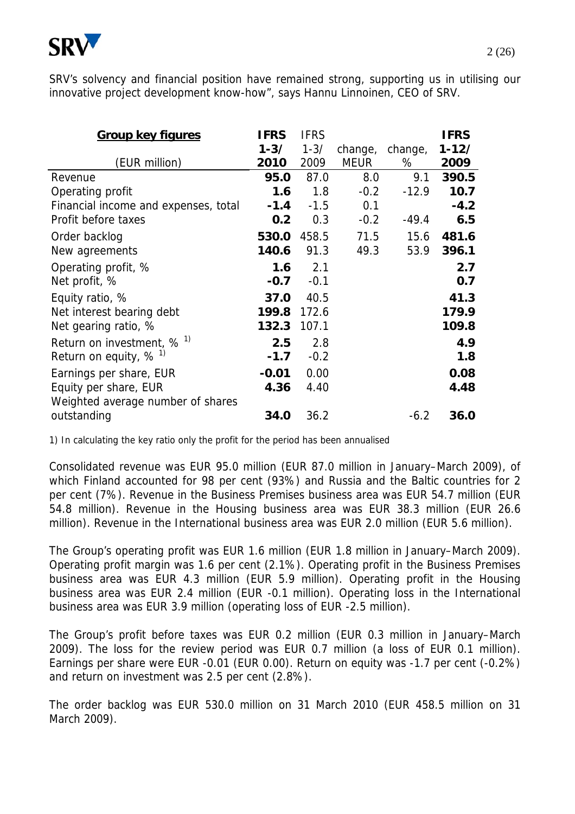

SRV's solvency and financial position have remained strong, supporting us in utilising our innovative project development know-how", says Hannu Linnoinen, CEO of SRV.

| <b>Group key figures</b>             | <b>IFRS</b><br>$1 - 3/$ | <b>IFRS</b><br>$1 - 3/$ | change,     | change, | <b>IFRS</b><br>$1 - 12/$ |
|--------------------------------------|-------------------------|-------------------------|-------------|---------|--------------------------|
| (EUR million)                        | 2010                    | 2009                    | <b>MEUR</b> | %       | 2009                     |
| Revenue                              | 95.0                    | 87.0                    | 8.0         | 9.1     | 390.5                    |
| Operating profit                     | 1.6                     | 1.8                     | $-0.2$      | $-12.9$ | 10.7                     |
| Financial income and expenses, total | $-1.4$                  | $-1.5$                  | 0.1         |         | $-4.2$                   |
| Profit before taxes                  | 0.2                     | 0.3                     | $-0.2$      | $-49.4$ | 6.5                      |
| Order backlog                        | 530.0                   | 458.5                   | 71.5        | 15.6    | 481.6                    |
| New agreements                       | 140.6                   | 91.3                    | 49.3        | 53.9    | 396.1                    |
| Operating profit, %                  | 1.6                     | 2.1                     |             |         | 2.7                      |
| Net profit, %                        | $-0.7$                  | $-0.1$                  |             |         | 0.7                      |
| Equity ratio, %                      | 37.0                    | 40.5                    |             |         | 41.3                     |
| Net interest bearing debt            | 199.8                   | 172.6                   |             |         | 179.9                    |
| Net gearing ratio, %                 | 132.3                   | 107.1                   |             |         | 109.8                    |
| Return on investment, $% ^{1}$       | 2.5                     | 2.8                     |             |         | 4.9                      |
| Return on equity, $% ^{1}$           | $-1.7$                  | $-0.2$                  |             |         | 1.8                      |
| Earnings per share, EUR              | $-0.01$                 | 0.00                    |             |         | 0.08                     |
| Equity per share, EUR                | 4.36                    | 4.40                    |             |         | 4.48                     |
| Weighted average number of shares    |                         |                         |             |         |                          |
| outstanding                          | 34.0                    | 36.2                    |             | $-6.2$  | 36.0                     |

1) In calculating the key ratio only the profit for the period has been annualised

Consolidated revenue was EUR 95.0 million (EUR 87.0 million in January–March 2009), of which Finland accounted for 98 per cent (93%) and Russia and the Baltic countries for 2 per cent (7%). Revenue in the Business Premises business area was EUR 54.7 million (EUR 54.8 million). Revenue in the Housing business area was EUR 38.3 million (EUR 26.6 million). Revenue in the International business area was EUR 2.0 million (EUR 5.6 million).

The Group's operating profit was EUR 1.6 million (EUR 1.8 million in January–March 2009). Operating profit margin was 1.6 per cent (2.1%). Operating profit in the Business Premises business area was EUR 4.3 million (EUR 5.9 million). Operating profit in the Housing business area was EUR 2.4 million (EUR -0.1 million). Operating loss in the International business area was EUR 3.9 million (operating loss of EUR -2.5 million).

The Group's profit before taxes was EUR 0.2 million (EUR 0.3 million in January–March 2009). The loss for the review period was EUR 0.7 million (a loss of EUR 0.1 million). Earnings per share were EUR -0.01 (EUR 0.00). Return on equity was -1.7 per cent (-0.2%) and return on investment was 2.5 per cent (2.8%).

The order backlog was EUR 530.0 million on 31 March 2010 (EUR 458.5 million on 31 March 2009).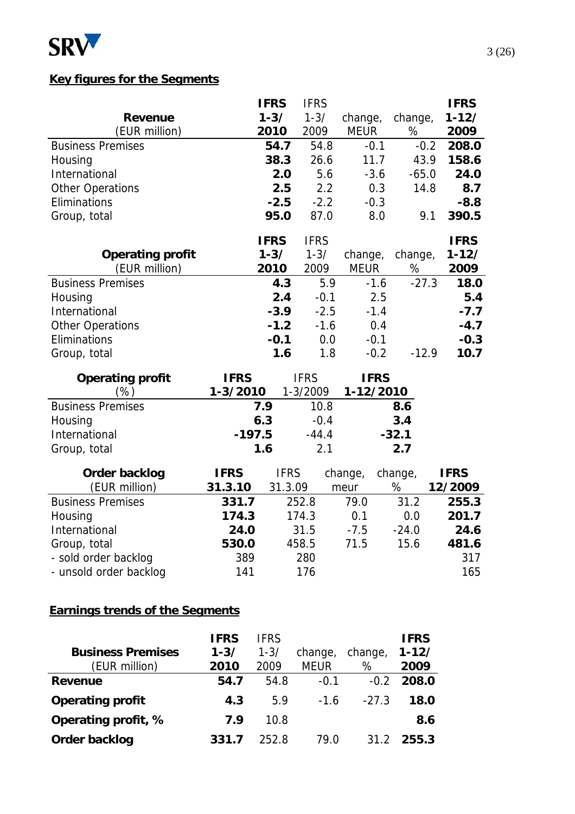

### **Key figures for the Segments**

| <b>Revenue</b><br>(EUR million)<br><b>Business Premises</b><br>Housing<br>International<br><b>Other Operations</b> |                         | <b>IFRS</b><br>$1 - 3/$<br>2010<br>54.7<br>38.3<br>2.0<br>2.5 | <b>IFRS</b><br>$1 - 3/$<br>2009<br>54.8<br>26.6<br>5.6<br>2.2 | change,<br><b>MEUR</b><br>$-0.1$<br>11.7<br>$-3.6$<br>0.3 | change,<br>%<br>$-0.2$<br>43.9<br>$-65.0$<br>14.8 | <b>IFRS</b><br>$1 - 12/$<br>2009<br>208.0<br>158.6<br>24.0<br>8.7 |
|--------------------------------------------------------------------------------------------------------------------|-------------------------|---------------------------------------------------------------|---------------------------------------------------------------|-----------------------------------------------------------|---------------------------------------------------|-------------------------------------------------------------------|
| Eliminations                                                                                                       |                         | $-2.5$<br>95.0                                                | $-2.2$<br>87.0                                                | $-0.3$<br>8.0                                             | 9.1                                               | $-8.8$<br>390.5                                                   |
| Group, total<br><b>Operating profit</b><br>(EUR million)                                                           |                         | <b>IFRS</b><br>$1 - 3/$<br>2010                               | <b>IFRS</b><br>$1 - 3/$<br>2009                               | change,<br><b>MEUR</b>                                    | change,<br>$\%$                                   | <b>IFRS</b><br>$1 - 12/$<br>2009                                  |
| <b>Business Premises</b><br>Housing<br>International<br><b>Other Operations</b><br>Eliminations<br>Group, total    |                         | 4.3<br>2.4<br>$-3.9$<br>$-1.2$<br>$-0.1$<br>1.6               | 5.9<br>$-0.1$<br>$-2.5$<br>$-1.6$<br>0.0<br>1.8               | $-1.6$<br>2.5<br>$-1.4$<br>0.4<br>$-0.1$<br>$-0.2$        | $-27.3$<br>$-12.9$                                | 18.0<br>5.4<br>$-7.7$<br>$-4.7$<br>$-0.3$<br>10.7                 |
| <b>Operating profit</b><br>(%)                                                                                     | <b>IFRS</b><br>1-3/2010 |                                                               | <b>IFRS</b><br>1-3/2009                                       | <b>IFRS</b><br>1-12/2010                                  |                                                   |                                                                   |
| <b>Business Premises</b><br>Housing<br>International<br>Group, total                                               | $-197.5$                | 7.9<br>6.3<br>1.6                                             | 10.8<br>$-0.4$<br>$-44.4$<br>2.1                              |                                                           | 8.6<br>3.4<br>$-32.1$<br>2.7                      |                                                                   |
| <b>Order backlog</b><br>(EUR million)                                                                              | <b>IFRS</b><br>31.3.10  | <b>IFRS</b><br>31.3.09                                        |                                                               | change,<br>meur                                           | change,<br>%                                      | <b>IFRS</b><br>12/2009                                            |
| <b>Business Premises</b><br>Housing<br>International                                                               | 331.7<br>174.3<br>24.0  |                                                               | 252.8<br>174.3<br>31.5                                        | 79.0<br>0.1<br>$-7.5$                                     | 31.2<br>0.0<br>$-24.0$                            | 255.3<br>201.7<br>24.6                                            |
| Group, total<br>- sold order backlog<br>- unsold order backlog                                                     | 530.0<br>389<br>141     |                                                               | 458.5<br>280<br>176                                           | 71.5                                                      | 15.6                                              | 481.6<br>317<br>165                                               |

## **Earnings trends of the Segments**

|                          | <b>IFRS</b> | <b>IFRS</b> |             |         | <b>IFRS</b> |
|--------------------------|-------------|-------------|-------------|---------|-------------|
| <b>Business Premises</b> | $1 - 3/$    | $1 - 3/$    | change,     | change, | $1 - 12/$   |
| (EUR million)            | 2010        | 2009        | <b>MEUR</b> | %       | 2009        |
| Revenue                  | 54.7        | 54.8        | $-0.1$      | $-0.2$  | 208.0       |
| <b>Operating profit</b>  | 4.3         | 5.9         | $-1.6$      | $-27.3$ | 18.0        |
| Operating profit, %      | 7.9         | 10.8        |             |         | 8.6         |
| Order backlog            | 331.7       | 252.8       | 79.N        | 31.2    | 255.3       |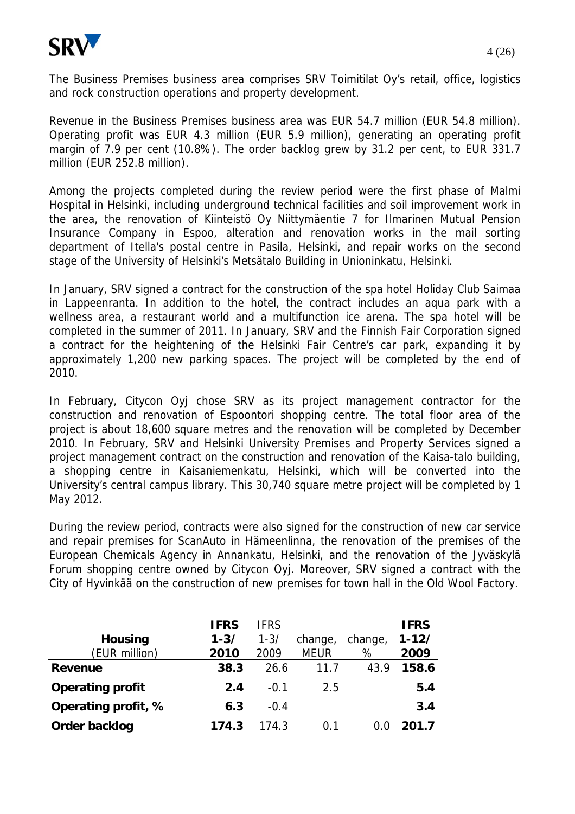

The Business Premises business area comprises SRV Toimitilat Oy's retail, office, logistics and rock construction operations and property development.

Revenue in the Business Premises business area was EUR 54.7 million (EUR 54.8 million). Operating profit was EUR 4.3 million (EUR 5.9 million), generating an operating profit margin of 7.9 per cent (10.8%). The order backlog grew by 31.2 per cent, to EUR 331.7 million (EUR 252.8 million).

Among the projects completed during the review period were the first phase of Malmi Hospital in Helsinki, including underground technical facilities and soil improvement work in the area, the renovation of Kiinteistö Oy Niittymäentie 7 for Ilmarinen Mutual Pension Insurance Company in Espoo, alteration and renovation works in the mail sorting department of Itella's postal centre in Pasila, Helsinki, and repair works on the second stage of the University of Helsinki's Metsätalo Building in Unioninkatu, Helsinki.

In January, SRV signed a contract for the construction of the spa hotel Holiday Club Saimaa in Lappeenranta. In addition to the hotel, the contract includes an aqua park with a wellness area, a restaurant world and a multifunction ice arena. The spa hotel will be completed in the summer of 2011. In January, SRV and the Finnish Fair Corporation signed a contract for the heightening of the Helsinki Fair Centre's car park, expanding it by approximately 1,200 new parking spaces. The project will be completed by the end of 2010.

In February, Citycon Oyj chose SRV as its project management contractor for the construction and renovation of Espoontori shopping centre. The total floor area of the project is about 18,600 square metres and the renovation will be completed by December 2010. In February, SRV and Helsinki University Premises and Property Services signed a project management contract on the construction and renovation of the Kaisa-talo building, a shopping centre in Kaisaniemenkatu, Helsinki, which will be converted into the University's central campus library. This 30,740 square metre project will be completed by 1 May 2012.

During the review period, contracts were also signed for the construction of new car service and repair premises for ScanAuto in Hämeenlinna, the renovation of the premises of the European Chemicals Agency in Annankatu, Helsinki, and the renovation of the Jyväskylä Forum shopping centre owned by Citycon Oyj. Moreover, SRV signed a contract with the City of Hyvinkää on the construction of new premises for town hall in the Old Wool Factory.

|                         | <b>IFRS</b> | <b>IFRS</b> |             |         | <b>IFRS</b> |
|-------------------------|-------------|-------------|-------------|---------|-------------|
| <b>Housing</b>          | $1 - 3/$    | $1 - 3/$    | change,     | change, | $1 - 12/$   |
| (EUR million)           | 2010        | 2009        | <b>MEUR</b> | %       | 2009        |
| <b>Revenue</b>          | 38.3        | 26.6        | 11.7        | 43.9    | 158.6       |
| <b>Operating profit</b> | 2.4         | $-0.1$      | 2.5         |         | 5.4         |
| Operating profit, %     | 6.3         | $-0.4$      |             |         | 3.4         |
| Order backlog           | 174.3       | 174.3       | 0.1         |         | 201.7       |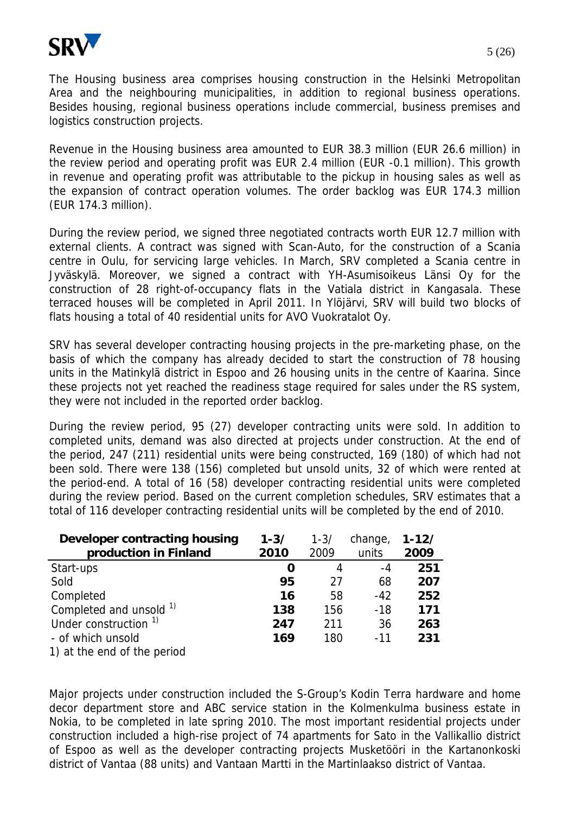

The Housing business area comprises housing construction in the Helsinki Metropolitan Area and the neighbouring municipalities, in addition to regional business operations. Besides housing, regional business operations include commercial, business premises and logistics construction projects.

Revenue in the Housing business area amounted to EUR 38.3 million (EUR 26.6 million) in the review period and operating profit was EUR 2.4 million (EUR -0.1 million). This growth in revenue and operating profit was attributable to the pickup in housing sales as well as the expansion of contract operation volumes. The order backlog was EUR 174.3 million (EUR 174.3 million).

During the review period, we signed three negotiated contracts worth EUR 12.7 million with external clients. A contract was signed with Scan-Auto, for the construction of a Scania centre in Oulu, for servicing large vehicles. In March, SRV completed a Scania centre in Jyväskylä. Moreover, we signed a contract with YH-Asumisoikeus Länsi Oy for the construction of 28 right-of-occupancy flats in the Vatiala district in Kangasala. These terraced houses will be completed in April 2011. In Ylöjärvi, SRV will build two blocks of flats housing a total of 40 residential units for AVO Vuokratalot Oy.

SRV has several developer contracting housing projects in the pre-marketing phase, on the basis of which the company has already decided to start the construction of 78 housing units in the Matinkylä district in Espoo and 26 housing units in the centre of Kaarina. Since these projects not yet reached the readiness stage required for sales under the RS system, they were not included in the reported order backlog.

During the review period, 95 (27) developer contracting units were sold. In addition to completed units, demand was also directed at projects under construction. At the end of the period, 247 (211) residential units were being constructed, 169 (180) of which had not been sold. There were 138 (156) completed but unsold units, 32 of which were rented at the period-end. A total of 16 (58) developer contracting residential units were completed during the review period. Based on the current completion schedules, SRV estimates that a total of 116 developer contracting residential units will be completed by the end of 2010.

| Developer contracting housing    | $1 - 3/$ | $1 - 3/$ | change, | $1 - 12/$ |
|----------------------------------|----------|----------|---------|-----------|
| production in Finland            | 2010     | 2009     | units   | 2009      |
| Start-ups                        | O        | 4        | -4      | 251       |
| Sold                             | 95       | 27       | 68      | 207       |
| Completed                        | 16       | 58       | $-42$   | 252       |
| Completed and unsold $1$         | 138      | 156      | $-18$   | 171       |
| Under construction <sup>1)</sup> | 247      | 211      | 36      | 263       |
| - of which unsold                | 169      | 180      | $-11$   | 231       |
| 1) at the end of the period      |          |          |         |           |

Major projects under construction included the S-Group's Kodin Terra hardware and home decor department store and ABC service station in the Kolmenkulma business estate in Nokia, to be completed in late spring 2010. The most important residential projects under construction included a high-rise project of 74 apartments for Sato in the Vallikallio district of Espoo as well as the developer contracting projects Musketööri in the Kartanonkoski district of Vantaa (88 units) and Vantaan Martti in the Martinlaakso district of Vantaa.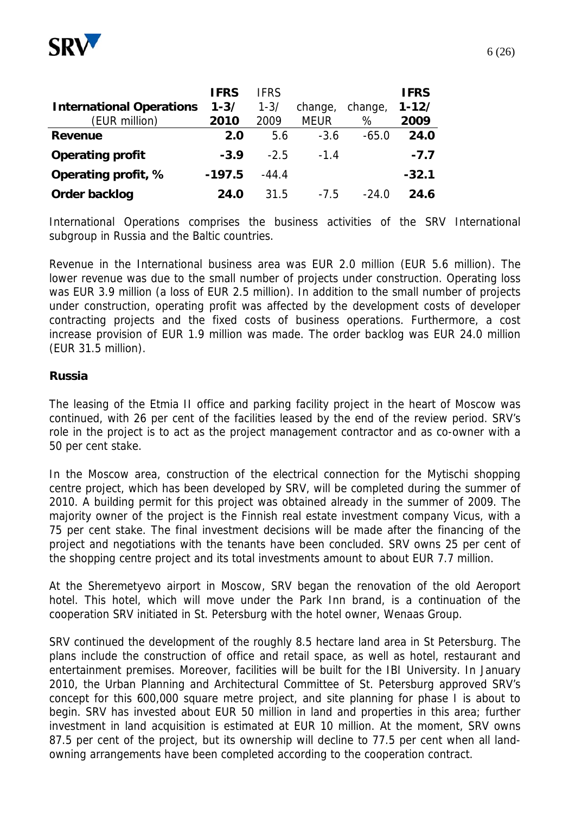

|                                 | <b>IFRS</b> | <b>IFRS</b> |             |         | <b>IFRS</b> |
|---------------------------------|-------------|-------------|-------------|---------|-------------|
| <b>International Operations</b> | $1 - 3/$    | $1 - 3/$    | change,     | change, | $1 - 12/$   |
| (EUR million)                   | 2010        | 2009        | <b>MEUR</b> | %       | 2009        |
| <b>Revenue</b>                  | 2.0         | 5.6         | $-3.6$      | $-65.0$ | 24.0        |
| <b>Operating profit</b>         | $-3.9$      | $-2.5$      | $-1.4$      |         | $-7.7$      |
| Operating profit, %             | $-197.5$    | $-44.4$     |             |         | $-32.1$     |
| Order backlog                   | 24.0        | 31.5        | $-7.5$      | $-24.0$ | 24.6        |

International Operations comprises the business activities of the SRV International subgroup in Russia and the Baltic countries.

Revenue in the International business area was EUR 2.0 million (EUR 5.6 million). The lower revenue was due to the small number of projects under construction. Operating loss was EUR 3.9 million (a loss of EUR 2.5 million). In addition to the small number of projects under construction, operating profit was affected by the development costs of developer contracting projects and the fixed costs of business operations. Furthermore, a cost increase provision of EUR 1.9 million was made. The order backlog was EUR 24.0 million (EUR 31.5 million).

#### **Russia**

The leasing of the Etmia II office and parking facility project in the heart of Moscow was continued, with 26 per cent of the facilities leased by the end of the review period. SRV's role in the project is to act as the project management contractor and as co-owner with a 50 per cent stake.

In the Moscow area, construction of the electrical connection for the Mytischi shopping centre project, which has been developed by SRV, will be completed during the summer of 2010. A building permit for this project was obtained already in the summer of 2009. The majority owner of the project is the Finnish real estate investment company Vicus, with a 75 per cent stake. The final investment decisions will be made after the financing of the project and negotiations with the tenants have been concluded. SRV owns 25 per cent of the shopping centre project and its total investments amount to about EUR 7.7 million.

At the Sheremetyevo airport in Moscow, SRV began the renovation of the old Aeroport hotel. This hotel, which will move under the Park Inn brand, is a continuation of the cooperation SRV initiated in St. Petersburg with the hotel owner, Wenaas Group.

SRV continued the development of the roughly 8.5 hectare land area in St Petersburg. The plans include the construction of office and retail space, as well as hotel, restaurant and entertainment premises. Moreover, facilities will be built for the IBI University. In January 2010, the Urban Planning and Architectural Committee of St. Petersburg approved SRV's concept for this 600,000 square metre project, and site planning for phase I is about to begin. SRV has invested about EUR 50 million in land and properties in this area; further investment in land acquisition is estimated at EUR 10 million. At the moment, SRV owns 87.5 per cent of the project, but its ownership will decline to 77.5 per cent when all landowning arrangements have been completed according to the cooperation contract.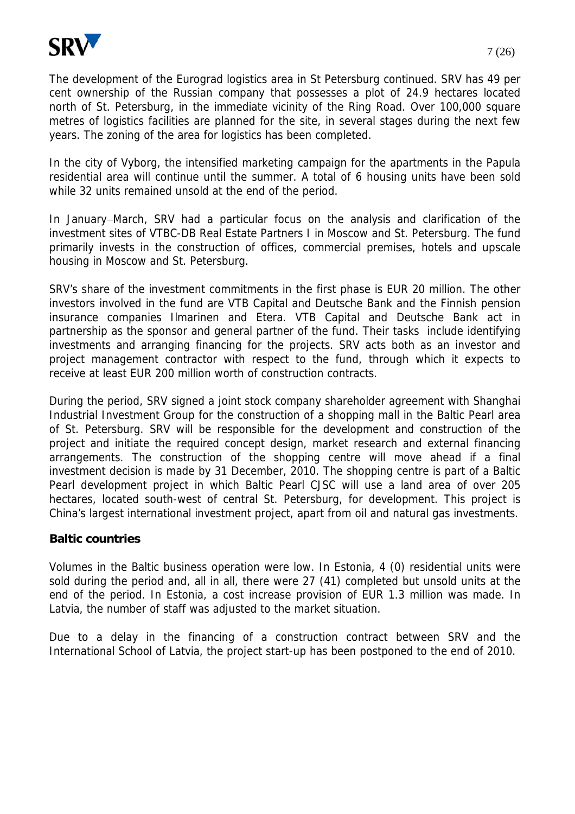

The development of the Eurograd logistics area in St Petersburg continued. SRV has 49 per cent ownership of the Russian company that possesses a plot of 24.9 hectares located north of St. Petersburg, in the immediate vicinity of the Ring Road. Over 100,000 square metres of logistics facilities are planned for the site, in several stages during the next few years. The zoning of the area for logistics has been completed.

In the city of Vyborg, the intensified marketing campaign for the apartments in the Papula residential area will continue until the summer. A total of 6 housing units have been sold while 32 units remained unsold at the end of the period.

In January−March, SRV had a particular focus on the analysis and clarification of the investment sites of VTBC-DB Real Estate Partners I in Moscow and St. Petersburg. The fund primarily invests in the construction of offices, commercial premises, hotels and upscale housing in Moscow and St. Petersburg.

SRV's share of the investment commitments in the first phase is EUR 20 million. The other investors involved in the fund are VTB Capital and Deutsche Bank and the Finnish pension insurance companies Ilmarinen and Etera. VTB Capital and Deutsche Bank act in partnership as the sponsor and general partner of the fund. Their tasks include identifying investments and arranging financing for the projects. SRV acts both as an investor and project management contractor with respect to the fund, through which it expects to receive at least EUR 200 million worth of construction contracts.

During the period, SRV signed a joint stock company shareholder agreement with Shanghai Industrial Investment Group for the construction of a shopping mall in the Baltic Pearl area of St. Petersburg. SRV will be responsible for the development and construction of the project and initiate the required concept design, market research and external financing arrangements. The construction of the shopping centre will move ahead if a final investment decision is made by 31 December, 2010. The shopping centre is part of a Baltic Pearl development project in which Baltic Pearl CJSC will use a land area of over 205 hectares, located south-west of central St. Petersburg, for development. This project is China's largest international investment project, apart from oil and natural gas investments.

### **Baltic countries**

Volumes in the Baltic business operation were low. In Estonia, 4 (0) residential units were sold during the period and, all in all, there were 27 (41) completed but unsold units at the end of the period. In Estonia, a cost increase provision of EUR 1.3 million was made. In Latvia, the number of staff was adjusted to the market situation.

Due to a delay in the financing of a construction contract between SRV and the International School of Latvia, the project start-up has been postponed to the end of 2010.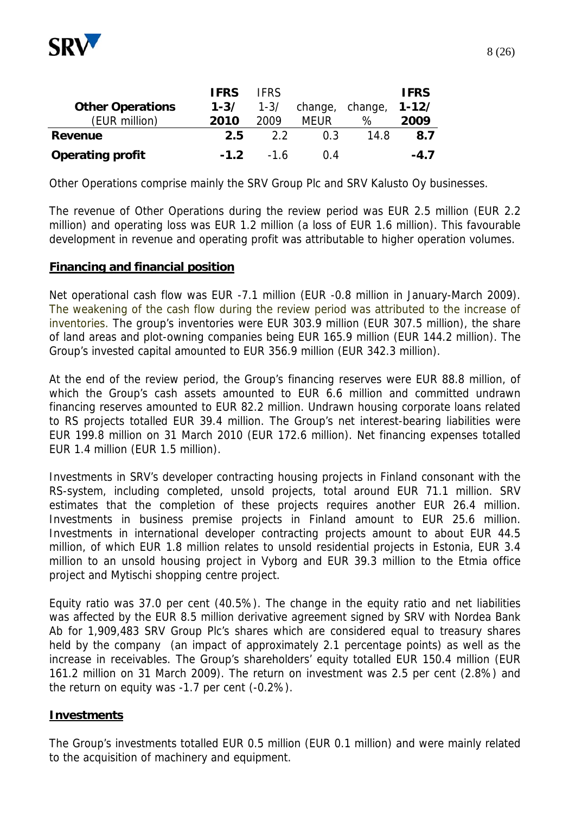

|                         | <b>IFRS</b> | <b>IFRS</b> |                 |      | <b>IFRS</b> |
|-------------------------|-------------|-------------|-----------------|------|-------------|
| <b>Other Operations</b> | $1 - 3/$    | $1 - 3/$    | change, change, |      | $1 - 12/$   |
| (EUR million)           | 2010        | 2009        | MEUR            | ℅    | 2009        |
| Revenue                 | 2.5         | 22          | 0 3             | 14.8 | 8.7         |
| <b>Operating profit</b> | $-1.2$      | $-16$       | በ 4             |      | $-4.7$      |

Other Operations comprise mainly the SRV Group Plc and SRV Kalusto Oy businesses.

The revenue of Other Operations during the review period was EUR 2.5 million (EUR 2.2 million) and operating loss was EUR 1.2 million (a loss of EUR 1.6 million). This favourable development in revenue and operating profit was attributable to higher operation volumes.

#### **Financing and financial position**

Net operational cash flow was EUR -7.1 million (EUR -0.8 million in January-March 2009). The weakening of the cash flow during the review period was attributed to the increase of inventories. The group's inventories were EUR 303.9 million (EUR 307.5 million), the share of land areas and plot-owning companies being EUR 165.9 million (EUR 144.2 million). The Group's invested capital amounted to EUR 356.9 million (EUR 342.3 million).

At the end of the review period, the Group's financing reserves were EUR 88.8 million, of which the Group's cash assets amounted to EUR 6.6 million and committed undrawn financing reserves amounted to EUR 82.2 million. Undrawn housing corporate loans related to RS projects totalled EUR 39.4 million. The Group's net interest-bearing liabilities were EUR 199.8 million on 31 March 2010 (EUR 172.6 million). Net financing expenses totalled EUR 1.4 million (EUR 1.5 million).

Investments in SRV's developer contracting housing projects in Finland consonant with the RS-system, including completed, unsold projects, total around EUR 71.1 million. SRV estimates that the completion of these projects requires another EUR 26.4 million. Investments in business premise projects in Finland amount to EUR 25.6 million. Investments in international developer contracting projects amount to about EUR 44.5 million, of which EUR 1.8 million relates to unsold residential projects in Estonia, EUR 3.4 million to an unsold housing project in Vyborg and EUR 39.3 million to the Etmia office project and Mytischi shopping centre project.

Equity ratio was 37.0 per cent (40.5%). The change in the equity ratio and net liabilities was affected by the EUR 8.5 million derivative agreement signed by SRV with Nordea Bank Ab for 1,909,483 SRV Group Plc's shares which are considered equal to treasury shares held by the company (an impact of approximately 2.1 percentage points) as well as the increase in receivables. The Group's shareholders' equity totalled EUR 150.4 million (EUR 161.2 million on 31 March 2009). The return on investment was 2.5 per cent (2.8%) and the return on equity was -1.7 per cent (-0.2%).

#### **Investments**

The Group's investments totalled EUR 0.5 million (EUR 0.1 million) and were mainly related to the acquisition of machinery and equipment.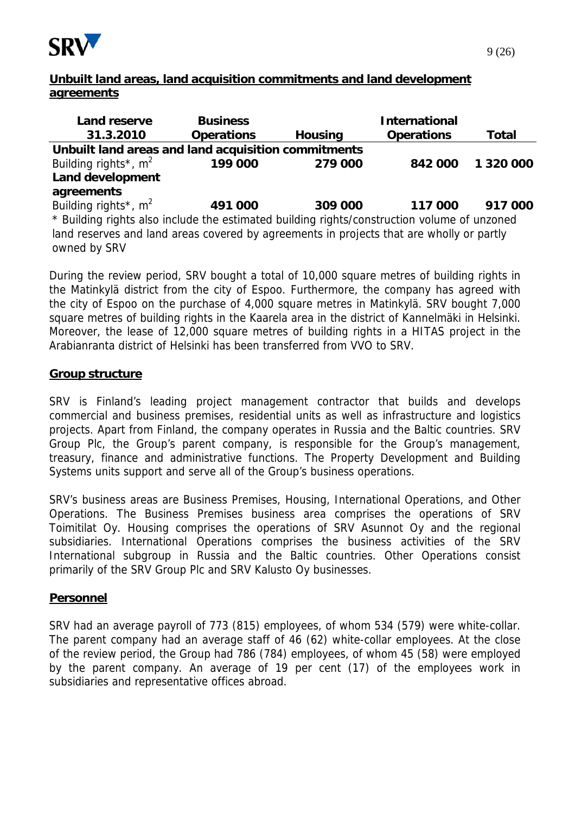

| <b>Land reserve</b>                                                                         | <b>Business</b>   |                | <b>International</b> |              |  |  |  |
|---------------------------------------------------------------------------------------------|-------------------|----------------|----------------------|--------------|--|--|--|
| 31.3.2010                                                                                   | <b>Operations</b> | <b>Housing</b> | <b>Operations</b>    | <b>Total</b> |  |  |  |
| Unbuilt land areas and land acquisition commitments                                         |                   |                |                      |              |  |  |  |
| Building rights <sup>*</sup> , $m^2$                                                        | 199 000           | 279 000        | 842 000              | 1 320 000    |  |  |  |
| <b>Land development</b>                                                                     |                   |                |                      |              |  |  |  |
| agreements                                                                                  |                   |                |                      |              |  |  |  |
| Building rights <sup>*</sup> , $m^2$                                                        | 491 000           | 309 000        | 117 000              | 917 000      |  |  |  |
| * Building rights also include the estimated building rights/construction volume of unzoned |                   |                |                      |              |  |  |  |
| land reserves and land areas covered by agreements in projects that are wholly or partly    |                   |                |                      |              |  |  |  |
| owned by SRV                                                                                |                   |                |                      |              |  |  |  |

During the review period, SRV bought a total of 10,000 square metres of building rights in the Matinkylä district from the city of Espoo. Furthermore, the company has agreed with the city of Espoo on the purchase of 4,000 square metres in Matinkylä. SRV bought 7,000 square metres of building rights in the Kaarela area in the district of Kannelmäki in Helsinki. Moreover, the lease of 12,000 square metres of building rights in a HITAS project in the Arabianranta district of Helsinki has been transferred from VVO to SRV.

#### **Group structure**

SRV is Finland's leading project management contractor that builds and develops commercial and business premises, residential units as well as infrastructure and logistics projects. Apart from Finland, the company operates in Russia and the Baltic countries. SRV Group Plc, the Group's parent company, is responsible for the Group's management, treasury, finance and administrative functions. The Property Development and Building Systems units support and serve all of the Group's business operations.

SRV's business areas are Business Premises, Housing, International Operations, and Other Operations. The Business Premises business area comprises the operations of SRV Toimitilat Oy. Housing comprises the operations of SRV Asunnot Oy and the regional subsidiaries. International Operations comprises the business activities of the SRV International subgroup in Russia and the Baltic countries. Other Operations consist primarily of the SRV Group Plc and SRV Kalusto Oy businesses.

#### **Personnel**

SRV had an average payroll of 773 (815) employees, of whom 534 (579) were white-collar. The parent company had an average staff of 46 (62) white-collar employees. At the close of the review period, the Group had 786 (784) employees, of whom 45 (58) were employed by the parent company. An average of 19 per cent (17) of the employees work in subsidiaries and representative offices abroad.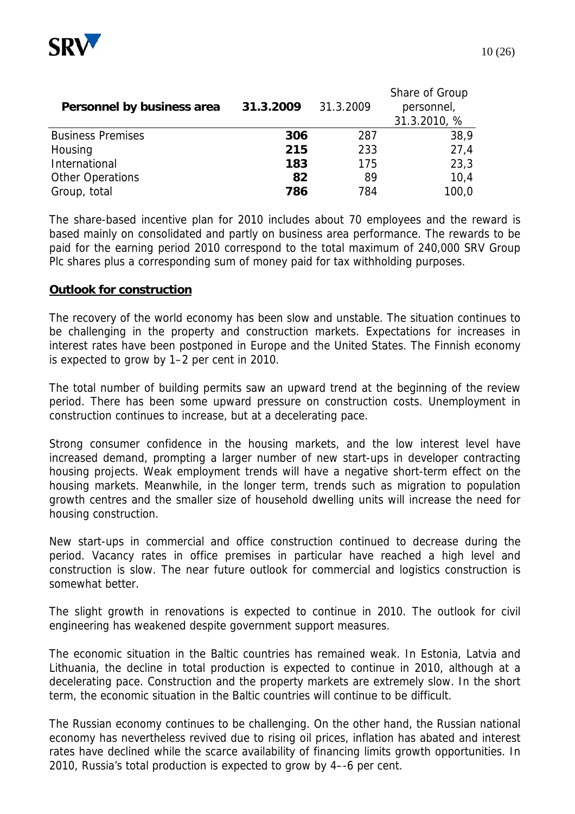

| Personnel by business area | 31.3.2009 | 31.3.2009 | Share of Group<br>personnel,<br>31.3.2010, % |
|----------------------------|-----------|-----------|----------------------------------------------|
| <b>Business Premises</b>   | 306       | 287       | 38,9                                         |
| Housing                    | 215       | 233       | 27,4                                         |
| International              | 183       | 175       | 23,3                                         |
| <b>Other Operations</b>    | 82        | 89        | 10,4                                         |
| Group, total               | 786       | 784       | 100,0                                        |

The share-based incentive plan for 2010 includes about 70 employees and the reward is based mainly on consolidated and partly on business area performance. The rewards to be paid for the earning period 2010 correspond to the total maximum of 240,000 SRV Group Plc shares plus a corresponding sum of money paid for tax withholding purposes.

#### **Outlook for construction**

The recovery of the world economy has been slow and unstable. The situation continues to be challenging in the property and construction markets. Expectations for increases in interest rates have been postponed in Europe and the United States. The Finnish economy is expected to grow by 1–2 per cent in 2010.

The total number of building permits saw an upward trend at the beginning of the review period. There has been some upward pressure on construction costs. Unemployment in construction continues to increase, but at a decelerating pace.

Strong consumer confidence in the housing markets, and the low interest level have increased demand, prompting a larger number of new start-ups in developer contracting housing projects. Weak employment trends will have a negative short-term effect on the housing markets. Meanwhile, in the longer term, trends such as migration to population growth centres and the smaller size of household dwelling units will increase the need for housing construction.

New start-ups in commercial and office construction continued to decrease during the period. Vacancy rates in office premises in particular have reached a high level and construction is slow. The near future outlook for commercial and logistics construction is somewhat better.

The slight growth in renovations is expected to continue in 2010. The outlook for civil engineering has weakened despite government support measures.

The economic situation in the Baltic countries has remained weak. In Estonia, Latvia and Lithuania, the decline in total production is expected to continue in 2010, although at a decelerating pace. Construction and the property markets are extremely slow. In the short term, the economic situation in the Baltic countries will continue to be difficult.

The Russian economy continues to be challenging. On the other hand, the Russian national economy has nevertheless revived due to rising oil prices, inflation has abated and interest rates have declined while the scarce availability of financing limits growth opportunities. In 2010, Russia's total production is expected to grow by 4–-6 per cent.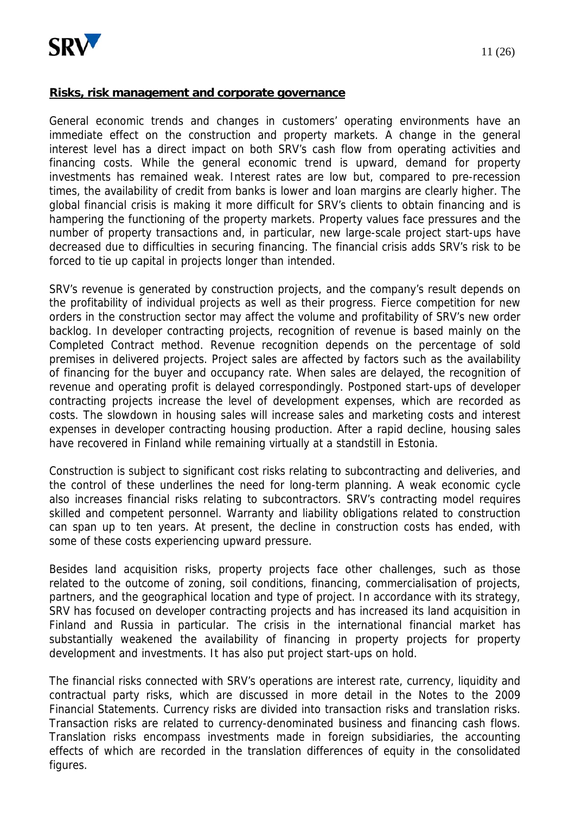

#### **Risks, risk management and corporate governance**

General economic trends and changes in customers' operating environments have an immediate effect on the construction and property markets. A change in the general interest level has a direct impact on both SRV's cash flow from operating activities and financing costs. While the general economic trend is upward, demand for property investments has remained weak. Interest rates are low but, compared to pre-recession times, the availability of credit from banks is lower and loan margins are clearly higher. The global financial crisis is making it more difficult for SRV's clients to obtain financing and is hampering the functioning of the property markets. Property values face pressures and the number of property transactions and, in particular, new large-scale project start-ups have decreased due to difficulties in securing financing. The financial crisis adds SRV's risk to be forced to tie up capital in projects longer than intended.

SRV's revenue is generated by construction projects, and the company's result depends on the profitability of individual projects as well as their progress. Fierce competition for new orders in the construction sector may affect the volume and profitability of SRV's new order backlog. In developer contracting projects, recognition of revenue is based mainly on the Completed Contract method. Revenue recognition depends on the percentage of sold premises in delivered projects. Project sales are affected by factors such as the availability of financing for the buyer and occupancy rate. When sales are delayed, the recognition of revenue and operating profit is delayed correspondingly. Postponed start-ups of developer contracting projects increase the level of development expenses, which are recorded as costs. The slowdown in housing sales will increase sales and marketing costs and interest expenses in developer contracting housing production. After a rapid decline, housing sales have recovered in Finland while remaining virtually at a standstill in Estonia.

Construction is subject to significant cost risks relating to subcontracting and deliveries, and the control of these underlines the need for long-term planning. A weak economic cycle also increases financial risks relating to subcontractors. SRV's contracting model requires skilled and competent personnel. Warranty and liability obligations related to construction can span up to ten years. At present, the decline in construction costs has ended, with some of these costs experiencing upward pressure.

Besides land acquisition risks, property projects face other challenges, such as those related to the outcome of zoning, soil conditions, financing, commercialisation of projects, partners, and the geographical location and type of project. In accordance with its strategy, SRV has focused on developer contracting projects and has increased its land acquisition in Finland and Russia in particular. The crisis in the international financial market has substantially weakened the availability of financing in property projects for property development and investments. It has also put project start-ups on hold.

The financial risks connected with SRV's operations are interest rate, currency, liquidity and contractual party risks, which are discussed in more detail in the Notes to the 2009 Financial Statements. Currency risks are divided into transaction risks and translation risks. Transaction risks are related to currency-denominated business and financing cash flows. Translation risks encompass investments made in foreign subsidiaries, the accounting effects of which are recorded in the translation differences of equity in the consolidated figures.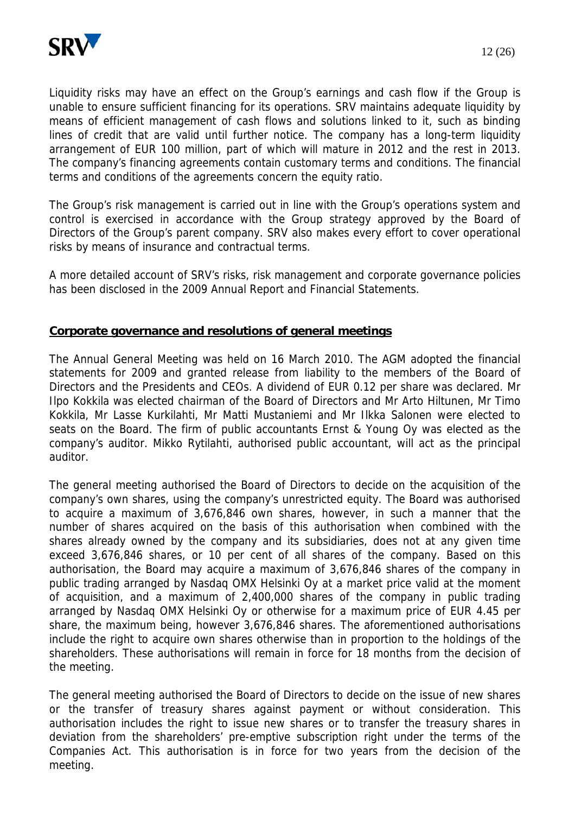

Liquidity risks may have an effect on the Group's earnings and cash flow if the Group is unable to ensure sufficient financing for its operations. SRV maintains adequate liquidity by means of efficient management of cash flows and solutions linked to it, such as binding lines of credit that are valid until further notice. The company has a long-term liquidity arrangement of EUR 100 million, part of which will mature in 2012 and the rest in 2013. The company's financing agreements contain customary terms and conditions. The financial terms and conditions of the agreements concern the equity ratio.

The Group's risk management is carried out in line with the Group's operations system and control is exercised in accordance with the Group strategy approved by the Board of Directors of the Group's parent company. SRV also makes every effort to cover operational risks by means of insurance and contractual terms.

A more detailed account of SRV's risks, risk management and corporate governance policies has been disclosed in the 2009 Annual Report and Financial Statements.

#### **Corporate governance and resolutions of general meetings**

The Annual General Meeting was held on 16 March 2010. The AGM adopted the financial statements for 2009 and granted release from liability to the members of the Board of Directors and the Presidents and CEOs. A dividend of EUR 0.12 per share was declared. Mr Ilpo Kokkila was elected chairman of the Board of Directors and Mr Arto Hiltunen, Mr Timo Kokkila, Mr Lasse Kurkilahti, Mr Matti Mustaniemi and Mr Ilkka Salonen were elected to seats on the Board. The firm of public accountants Ernst & Young Oy was elected as the company's auditor. Mikko Rytilahti, authorised public accountant, will act as the principal auditor.

The general meeting authorised the Board of Directors to decide on the acquisition of the company's own shares, using the company's unrestricted equity. The Board was authorised to acquire a maximum of 3,676,846 own shares, however, in such a manner that the number of shares acquired on the basis of this authorisation when combined with the shares already owned by the company and its subsidiaries, does not at any given time exceed 3,676,846 shares, or 10 per cent of all shares of the company. Based on this authorisation, the Board may acquire a maximum of 3,676,846 shares of the company in public trading arranged by Nasdaq OMX Helsinki Oy at a market price valid at the moment of acquisition, and a maximum of 2,400,000 shares of the company in public trading arranged by Nasdaq OMX Helsinki Oy or otherwise for a maximum price of EUR 4.45 per share, the maximum being, however 3,676,846 shares. The aforementioned authorisations include the right to acquire own shares otherwise than in proportion to the holdings of the shareholders. These authorisations will remain in force for 18 months from the decision of the meeting.

The general meeting authorised the Board of Directors to decide on the issue of new shares or the transfer of treasury shares against payment or without consideration. This authorisation includes the right to issue new shares or to transfer the treasury shares in deviation from the shareholders' pre-emptive subscription right under the terms of the Companies Act. This authorisation is in force for two years from the decision of the meeting.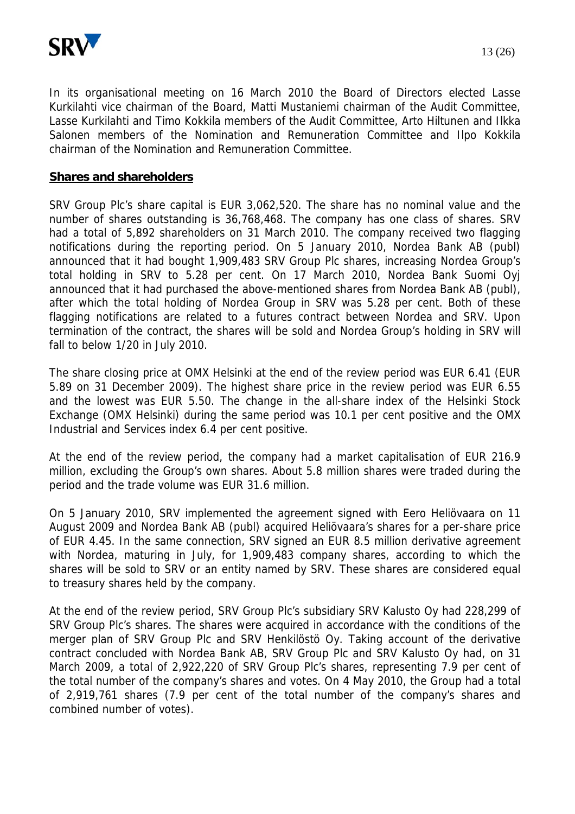

In its organisational meeting on 16 March 2010 the Board of Directors elected Lasse Kurkilahti vice chairman of the Board, Matti Mustaniemi chairman of the Audit Committee, Lasse Kurkilahti and Timo Kokkila members of the Audit Committee, Arto Hiltunen and Ilkka Salonen members of the Nomination and Remuneration Committee and Ilpo Kokkila chairman of the Nomination and Remuneration Committee.

#### **Shares and shareholders**

SRV Group Plc's share capital is EUR 3,062,520. The share has no nominal value and the number of shares outstanding is 36,768,468. The company has one class of shares. SRV had a total of 5,892 shareholders on 31 March 2010. The company received two flagging notifications during the reporting period. On 5 January 2010, Nordea Bank AB (publ) announced that it had bought 1,909,483 SRV Group Plc shares, increasing Nordea Group's total holding in SRV to 5.28 per cent. On 17 March 2010, Nordea Bank Suomi Oyj announced that it had purchased the above-mentioned shares from Nordea Bank AB (publ), after which the total holding of Nordea Group in SRV was 5.28 per cent. Both of these flagging notifications are related to a futures contract between Nordea and SRV. Upon termination of the contract, the shares will be sold and Nordea Group's holding in SRV will fall to below 1/20 in July 2010.

The share closing price at OMX Helsinki at the end of the review period was EUR 6.41 (EUR 5.89 on 31 December 2009). The highest share price in the review period was EUR 6.55 and the lowest was EUR 5.50. The change in the all-share index of the Helsinki Stock Exchange (OMX Helsinki) during the same period was 10.1 per cent positive and the OMX Industrial and Services index 6.4 per cent positive.

At the end of the review period, the company had a market capitalisation of EUR 216.9 million, excluding the Group's own shares. About 5.8 million shares were traded during the period and the trade volume was EUR 31.6 million.

On 5 January 2010, SRV implemented the agreement signed with Eero Heliövaara on 11 August 2009 and Nordea Bank AB (publ) acquired Heliövaara's shares for a per-share price of EUR 4.45. In the same connection, SRV signed an EUR 8.5 million derivative agreement with Nordea, maturing in July, for 1,909,483 company shares, according to which the shares will be sold to SRV or an entity named by SRV. These shares are considered equal to treasury shares held by the company.

At the end of the review period, SRV Group Plc's subsidiary SRV Kalusto Oy had 228,299 of SRV Group Plc's shares. The shares were acquired in accordance with the conditions of the merger plan of SRV Group Plc and SRV Henkilöstö Oy. Taking account of the derivative contract concluded with Nordea Bank AB, SRV Group Plc and SRV Kalusto Oy had, on 31 March 2009, a total of 2,922,220 of SRV Group Plc's shares, representing 7.9 per cent of the total number of the company's shares and votes. On 4 May 2010, the Group had a total of 2,919,761 shares (7.9 per cent of the total number of the company's shares and combined number of votes).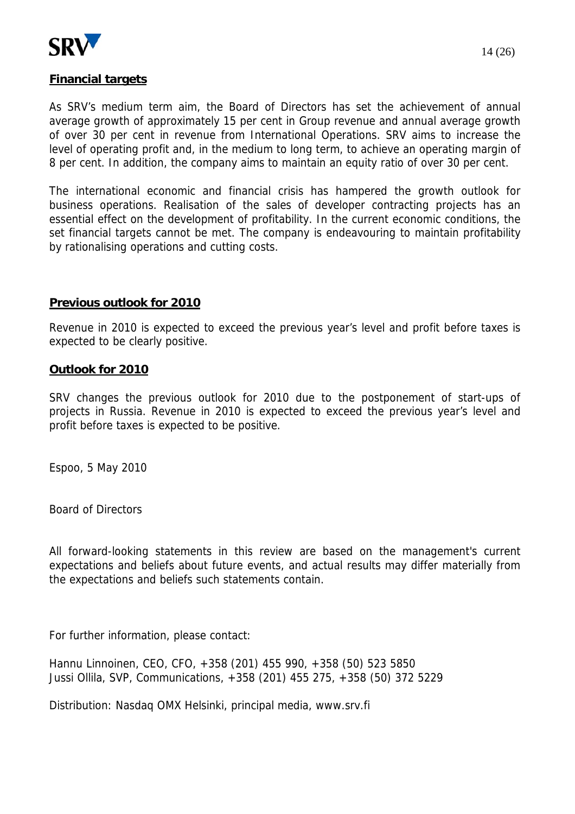

#### **Financial targets**

As SRV's medium term aim, the Board of Directors has set the achievement of annual average growth of approximately 15 per cent in Group revenue and annual average growth of over 30 per cent in revenue from International Operations. SRV aims to increase the level of operating profit and, in the medium to long term, to achieve an operating margin of 8 per cent. In addition, the company aims to maintain an equity ratio of over 30 per cent.

The international economic and financial crisis has hampered the growth outlook for business operations. Realisation of the sales of developer contracting projects has an essential effect on the development of profitability. In the current economic conditions, the set financial targets cannot be met. The company is endeavouring to maintain profitability by rationalising operations and cutting costs.

#### **Previous outlook for 2010**

Revenue in 2010 is expected to exceed the previous year's level and profit before taxes is expected to be clearly positive.

#### **Outlook for 2010**

SRV changes the previous outlook for 2010 due to the postponement of start-ups of projects in Russia. Revenue in 2010 is expected to exceed the previous year's level and profit before taxes is expected to be positive.

Espoo, 5 May 2010

Board of Directors

All forward-looking statements in this review are based on the management's current expectations and beliefs about future events, and actual results may differ materially from the expectations and beliefs such statements contain.

For further information, please contact:

Hannu Linnoinen, CEO, CFO, +358 (201) 455 990, +358 (50) 523 5850 Jussi Ollila, SVP, Communications, +358 (201) 455 275, +358 (50) 372 5229

Distribution: Nasdaq OMX Helsinki, principal media, www.srv.fi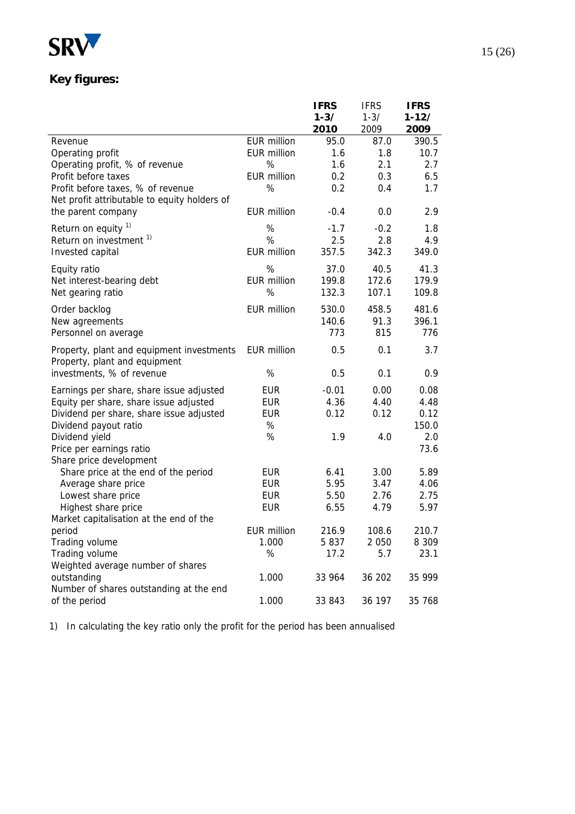

# **Key figures:**

|                                                                                   |                    | <b>IFRS</b> | <b>IFRS</b> | <b>IFRS</b> |
|-----------------------------------------------------------------------------------|--------------------|-------------|-------------|-------------|
|                                                                                   |                    | $1 - 3/$    | $1 - 3/$    | $1 - 12/$   |
|                                                                                   |                    | 2010        | 2009        | 2009        |
| Revenue                                                                           | <b>EUR million</b> | 95.0        | 87.0        | 390.5       |
| Operating profit                                                                  | <b>EUR million</b> | 1.6         | 1.8         | 10.7        |
| Operating profit, % of revenue                                                    | %                  | 1.6         | 2.1         | 2.7         |
| Profit before taxes                                                               | <b>EUR million</b> | 0.2         | 0.3         | 6.5         |
| Profit before taxes, % of revenue<br>Net profit attributable to equity holders of | %                  | 0.2         | 0.4         | 1.7         |
| the parent company                                                                | <b>EUR million</b> | $-0.4$      | 0.0         | 2.9         |
| Return on equity <sup>1)</sup>                                                    | %                  | $-1.7$      | $-0.2$      | 1.8         |
| Return on investment <sup>1)</sup>                                                | %                  | 2.5         | 2.8         | 4.9         |
| Invested capital                                                                  | <b>EUR million</b> | 357.5       | 342.3       | 349.0       |
| Equity ratio                                                                      | %                  | 37.0        | 40.5        | 41.3        |
| Net interest-bearing debt                                                         | <b>EUR million</b> | 199.8       | 172.6       | 179.9       |
| Net gearing ratio                                                                 | %                  | 132.3       | 107.1       | 109.8       |
| Order backlog                                                                     | <b>EUR million</b> | 530.0       | 458.5       | 481.6       |
| New agreements                                                                    |                    | 140.6       | 91.3        | 396.1       |
| Personnel on average                                                              |                    | 773         | 815         | 776         |
|                                                                                   |                    |             |             |             |
| Property, plant and equipment investments<br>Property, plant and equipment        | EUR million        | 0.5         | 0.1         | 3.7         |
| investments, % of revenue                                                         | %                  | 0.5         | 0.1         | 0.9         |
| Earnings per share, share issue adjusted                                          | <b>EUR</b>         | $-0.01$     | 0.00        | 0.08        |
| Equity per share, share issue adjusted                                            | <b>EUR</b>         | 4.36        | 4.40        | 4.48        |
| Dividend per share, share issue adjusted                                          | <b>EUR</b>         | 0.12        | 0.12        | 0.12        |
| Dividend payout ratio                                                             | %                  |             |             | 150.0       |
| Dividend yield                                                                    | $\%$               | 1.9         | 4.0         | 2.0         |
| Price per earnings ratio                                                          |                    |             |             | 73.6        |
| Share price development                                                           |                    |             |             |             |
| Share price at the end of the period                                              | <b>EUR</b>         | 6.41        | 3.00        | 5.89        |
| Average share price                                                               | <b>EUR</b>         | 5.95        | 3.47        | 4.06        |
| Lowest share price                                                                | <b>EUR</b>         | 5.50        | 2.76        | 2.75        |
| Highest share price                                                               | <b>EUR</b>         | 6.55        | 4.79        | 5.97        |
| Market capitalisation at the end of the                                           |                    |             |             |             |
| period                                                                            | <b>EUR million</b> | 216.9       | 108.6       | 210.7       |
| Trading volume                                                                    | 1.000              | 5837        | 2 0 5 0     | 8 3 0 9     |
| Trading volume                                                                    | $\%$               | 17.2        | 5.7         | 23.1        |
| Weighted average number of shares                                                 |                    |             |             |             |
| outstanding                                                                       | 1.000              | 33 964      | 36 202      | 35 999      |
| Number of shares outstanding at the end                                           |                    |             |             |             |
| of the period                                                                     | 1.000              | 33 843      | 36 197      | 35 768      |

1) In calculating the key ratio only the profit for the period has been annualised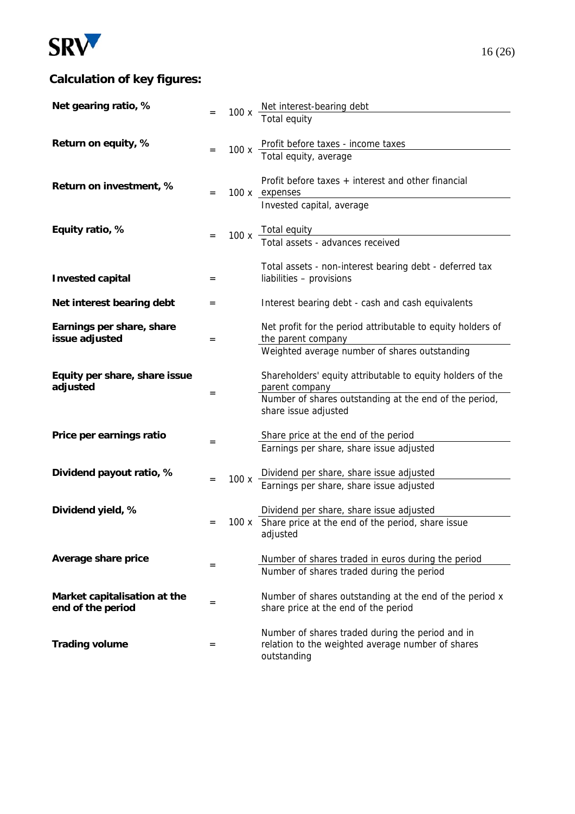

# **Calculation of key figures:**

| Net gearing ratio, %          |     |      | 100 x $\frac{\text{Net interest-bearing debt}}{\text{Test}-\text{Perating}}$                        |
|-------------------------------|-----|------|-----------------------------------------------------------------------------------------------------|
|                               |     |      | Total equity                                                                                        |
|                               |     |      |                                                                                                     |
| Return on equity, %           | $=$ | 100x | Profit before taxes - income taxes<br>Total equity, average                                         |
|                               |     |      |                                                                                                     |
| Return on investment, %       |     |      | Profit before taxes + interest and other financial                                                  |
|                               | $=$ |      | 100 x expenses                                                                                      |
|                               |     |      | Invested capital, average                                                                           |
| Equity ratio, %               |     |      |                                                                                                     |
|                               |     |      | 100 x Total equity<br>Total assets - advances received                                              |
|                               |     |      | Total assets - non-interest bearing debt - deferred tax                                             |
| <b>Invested capital</b>       | $=$ |      | liabilities - provisions                                                                            |
|                               |     |      |                                                                                                     |
| Net interest bearing debt     | $=$ |      | Interest bearing debt - cash and cash equivalents                                                   |
| Earnings per share, share     |     |      | Net profit for the period attributable to equity holders of                                         |
| issue adjusted                | $=$ |      | the parent company                                                                                  |
|                               |     |      | Weighted average number of shares outstanding                                                       |
| Equity per share, share issue |     |      | Shareholders' equity attributable to equity holders of the                                          |
| adjusted                      | $=$ |      | parent company                                                                                      |
|                               |     |      | Number of shares outstanding at the end of the period,<br>share issue adjusted                      |
|                               |     |      |                                                                                                     |
| Price per earnings ratio      | $=$ |      | Share price at the end of the period                                                                |
|                               |     |      | Earnings per share, share issue adjusted                                                            |
| Dividend payout ratio, %      |     |      | Dividend per share, share issue adjusted                                                            |
|                               | $=$ | 100x | Earnings per share, share issue adjusted                                                            |
|                               |     |      |                                                                                                     |
| Dividend yield, %             | $=$ |      | Dividend per share, share issue adjusted<br>100 x Share price at the end of the period, share issue |
|                               |     |      | adjusted                                                                                            |
|                               |     |      |                                                                                                     |
| Average share price           | $=$ |      | Number of shares traded in euros during the period                                                  |
|                               |     |      | Number of shares traded during the period                                                           |
| Market capitalisation at the  | $=$ |      | Number of shares outstanding at the end of the period x                                             |
| end of the period             |     |      | share price at the end of the period                                                                |
|                               |     |      | Number of shares traded during the period and in                                                    |
| <b>Trading volume</b>         | $=$ |      | relation to the weighted average number of shares                                                   |
|                               |     |      | outstanding                                                                                         |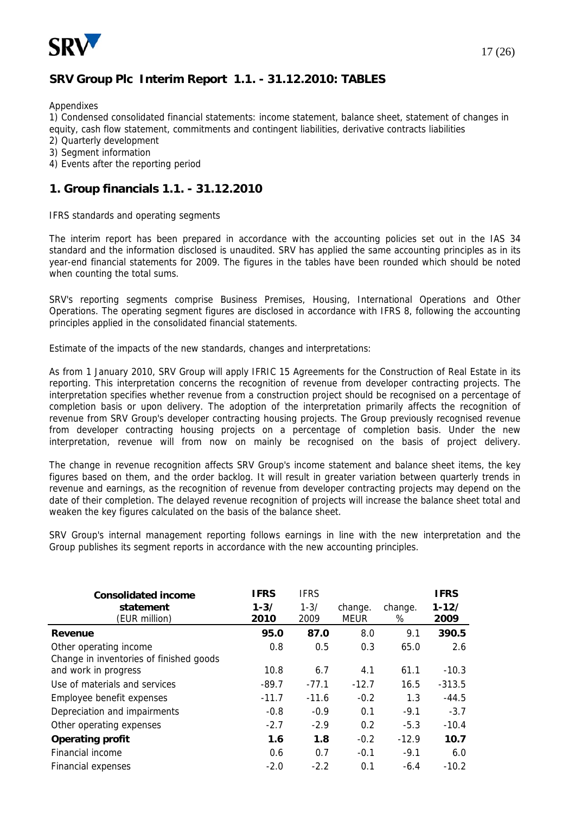

### **SRV Group Plc Interim Report 1.1. - 31.12.2010: TABLES**

Appendixes

1) Condensed consolidated financial statements: income statement, balance sheet, statement of changes in equity, cash flow statement, commitments and contingent liabilities, derivative contracts liabilities

- 2) Quarterly development
- 3) Segment information
- 4) Events after the reporting period

#### **1. Group financials 1.1. - 31.12.2010**

IFRS standards and operating segments

The interim report has been prepared in accordance with the accounting policies set out in the IAS 34 standard and the information disclosed is unaudited. SRV has applied the same accounting principles as in its year-end financial statements for 2009. The figures in the tables have been rounded which should be noted when counting the total sums.

SRV's reporting segments comprise Business Premises, Housing, International Operations and Other Operations. The operating segment figures are disclosed in accordance with IFRS 8, following the accounting principles applied in the consolidated financial statements.

Estimate of the impacts of the new standards, changes and interpretations:

As from 1 January 2010, SRV Group will apply IFRIC 15 Agreements for the Construction of Real Estate in its reporting. This interpretation concerns the recognition of revenue from developer contracting projects. The interpretation specifies whether revenue from a construction project should be recognised on a percentage of completion basis or upon delivery. The adoption of the interpretation primarily affects the recognition of revenue from SRV Group's developer contracting housing projects. The Group previously recognised revenue from developer contracting housing projects on a percentage of completion basis. Under the new interpretation, revenue will from now on mainly be recognised on the basis of project delivery.

The change in revenue recognition affects SRV Group's income statement and balance sheet items, the key figures based on them, and the order backlog. It will result in greater variation between quarterly trends in revenue and earnings, as the recognition of revenue from developer contracting projects may depend on the date of their completion. The delayed revenue recognition of projects will increase the balance sheet total and weaken the key figures calculated on the basis of the balance sheet.

SRV Group's internal management reporting follows earnings in line with the new interpretation and the Group publishes its segment reports in accordance with the new accounting principles.

| <b>Consolidated income</b>                                        | <b>IFRS</b>      | <b>IFRS</b>      |                        |              | <b>IFRS</b>       |
|-------------------------------------------------------------------|------------------|------------------|------------------------|--------------|-------------------|
| statement<br>(EUR million)                                        | $1 - 3/$<br>2010 | $1 - 3/$<br>2009 | change.<br><b>MEUR</b> | change.<br>% | $1 - 12/$<br>2009 |
| Revenue                                                           | 95.0             | 87.0             | 8.0                    | 9.1          | 390.5             |
| Other operating income<br>Change in inventories of finished goods | 0.8              | 0.5              | 0.3                    | 65.0         | 2.6               |
| and work in progress                                              | 10.8             | 6.7              | 4.1                    | 61.1         | $-10.3$           |
| Use of materials and services                                     | $-89.7$          | $-77.1$          | $-12.7$                | 16.5         | $-313.5$          |
| Employee benefit expenses                                         | $-11.7$          | $-11.6$          | $-0.2$                 | 1.3          | $-44.5$           |
| Depreciation and impairments                                      | $-0.8$           | $-0.9$           | 0.1                    | $-9.1$       | $-3.7$            |
| Other operating expenses                                          | $-2.7$           | $-2.9$           | 0.2                    | $-5.3$       | $-10.4$           |
| <b>Operating profit</b>                                           | 1.6              | 1.8              | $-0.2$                 | $-12.9$      | 10.7              |
| Financial income                                                  | 0.6              | 0.7              | $-0.1$                 | $-9.1$       | 6.0               |
| <b>Financial expenses</b>                                         | $-2.0$           | $-2.2$           | 0.1                    | $-6.4$       | $-10.2$           |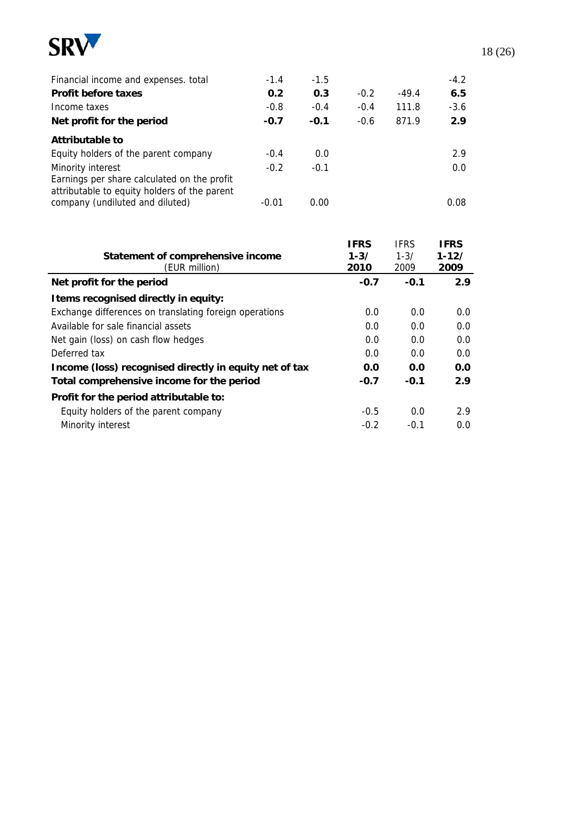

| Financial income and expenses. total                                                                             | $-1.4$  | $-1.5$ |        |         | $-4.2$ |  |
|------------------------------------------------------------------------------------------------------------------|---------|--------|--------|---------|--------|--|
| <b>Profit before taxes</b>                                                                                       | 0.2     | 0.3    | $-0.2$ | $-49.4$ | 6.5    |  |
| Income taxes                                                                                                     | $-0.8$  | $-0.4$ | $-0.4$ | 111.8   | $-3.6$ |  |
| Net profit for the period                                                                                        | $-0.7$  | $-0.1$ | $-0.6$ | 871.9   | 2.9    |  |
| Attributable to                                                                                                  |         |        |        |         |        |  |
| Equity holders of the parent company                                                                             | $-0.4$  | 0.0    |        |         | 2.9    |  |
| Minority interest<br>Earnings per share calculated on the profit<br>attributable to equity holders of the parent | $-0.2$  | $-0.1$ |        |         | 0.0    |  |
| company (undiluted and diluted)                                                                                  | $-0.01$ | 0.00   |        |         | 0.08   |  |

|                                                        | <b>IFRS</b> | <b>IFRS</b> | <b>IFRS</b> |
|--------------------------------------------------------|-------------|-------------|-------------|
| Statement of comprehensive income                      | $1 - 3/$    | $1 - 3/$    | $1 - 12/$   |
| (EUR million)                                          | 2010        | 2009        | 2009        |
| Net profit for the period                              | $-0.7$      | $-0.1$      | 2.9         |
| I tems recognised directly in equity:                  |             |             |             |
| Exchange differences on translating foreign operations | 0.0         | 0.0         | 0.0         |
| Available for sale financial assets                    | 0.0         | 0.0         | 0.0         |
| Net gain (loss) on cash flow hedges                    | 0.0         | 0.0         | 0.0         |
| Deferred tax                                           | 0.0         | 0.0         | 0.0         |
| Income (loss) recognised directly in equity net of tax | 0.0         | 0.0         | 0.0         |
| Total comprehensive income for the period              | $-0.7$      | $-0.1$      | 2.9         |
| Profit for the period attributable to:                 |             |             |             |
| Equity holders of the parent company                   | $-0.5$      | 0.0         | 2.9         |
| Minority interest                                      | $-0.2$      | $-0.1$      | 0.0         |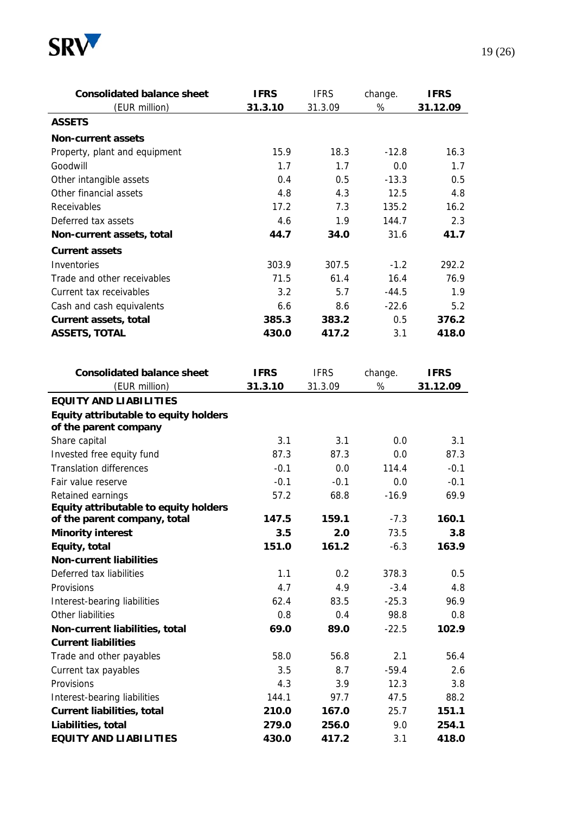

| <b>Consolidated balance sheet</b>                              | <b>IFRS</b> | <b>IFRS</b> | change. | <b>IFRS</b> |
|----------------------------------------------------------------|-------------|-------------|---------|-------------|
| (EUR million)                                                  | 31.3.10     | 31.3.09     | $\%$    | 31.12.09    |
| <b>ASSETS</b>                                                  |             |             |         |             |
| <b>Non-current assets</b>                                      |             |             |         |             |
| Property, plant and equipment                                  | 15.9        | 18.3        | $-12.8$ | 16.3        |
| Goodwill                                                       | 1.7         | 1.7         | 0.0     | 1.7         |
| Other intangible assets                                        | 0.4         | 0.5         | $-13.3$ | 0.5         |
| Other financial assets                                         | 4.8         | 4.3         | 12.5    | 4.8         |
| Receivables                                                    | 17.2        | 7.3         | 135.2   | 16.2        |
| Deferred tax assets                                            | 4.6         | 1.9         | 144.7   | 2.3         |
| Non-current assets, total                                      | 44.7        | 34.0        | 31.6    | 41.7        |
| <b>Current assets</b>                                          |             |             |         |             |
| Inventories                                                    | 303.9       | 307.5       | $-1.2$  | 292.2       |
| Trade and other receivables                                    | 71.5        | 61.4        | 16.4    | 76.9        |
| Current tax receivables                                        | 3.2         | 5.7         | $-44.5$ | 1.9         |
| Cash and cash equivalents                                      | 6.6         | 8.6         | $-22.6$ | 5.2         |
| <b>Current assets, total</b>                                   | 385.3       | 383.2       | 0.5     | 376.2       |
| <b>ASSETS, TOTAL</b>                                           | 430.0       | 417.2       | 3.1     | 418.0       |
|                                                                |             |             |         |             |
|                                                                |             |             |         |             |
| <b>Consolidated balance sheet</b>                              | <b>IFRS</b> | <b>IFRS</b> | change. | <b>IFRS</b> |
| (EUR million)                                                  | 31.3.10     | 31.3.09     | $\%$    | 31.12.09    |
| <b>EQUITY AND LIABILITIES</b>                                  |             |             |         |             |
| Equity attributable to equity holders<br>of the parent company |             |             |         |             |
| Share capital                                                  | 3.1         | 3.1         | 0.0     | 3.1         |
| Invested free equity fund                                      | 87.3        | 87.3        | 0.0     | 87.3        |
| <b>Translation differences</b>                                 | $-0.1$      | 0.0         | 114.4   | $-0.1$      |
| Fair value reserve                                             | $-0.1$      | $-0.1$      | 0.0     | $-0.1$      |
| Retained earnings                                              | 57.2        | 68.8        | $-16.9$ | 69.9        |
| Equity attributable to equity holders                          |             |             |         |             |
| of the parent company, total                                   | 147.5       | 159.1       | $-7.3$  | 160.1       |
| <b>Minority interest</b>                                       | 3.5         | 2.0         | 73.5    | 3.8         |
| Equity, total                                                  | 151.0       | 161.2       | $-6.3$  | 163.9       |
| <b>Non-current liabilities</b>                                 |             |             |         |             |
| Deferred tax liabilities                                       | 1.1         | 0.2         | 378.3   | 0.5         |
| Provisions                                                     | 4.7         | 4.9         | $-3.4$  | 4.8         |
| Interest-bearing liabilities                                   | 62.4        | 83.5        | $-25.3$ | 96.9        |
| Other liabilities                                              | 0.8         | 0.4         | 98.8    | 0.8         |
| Non-current liabilities, total                                 | 69.0        | 89.0        | $-22.5$ | 102.9       |
| <b>Current liabilities</b>                                     |             |             |         |             |
| Trade and other payables                                       | 58.0        | 56.8        | 2.1     | 56.4        |
| Current tax payables                                           | 3.5         | 8.7         | $-59.4$ | 2.6         |
| Provisions                                                     | 4.3         | 3.9         | 12.3    | 3.8         |
| Interest-bearing liabilities                                   | 144.1       | 97.7        | 47.5    | 88.2        |
| <b>Current liabilities, total</b>                              | 210.0       | 167.0       | 25.7    | 151.1       |
| Liabilities, total                                             | 279.0       | 256.0       | 9.0     | 254.1       |
| <b>EQUITY AND LIABILITIES</b>                                  | 430.0       | 417.2       | 3.1     | 418.0       |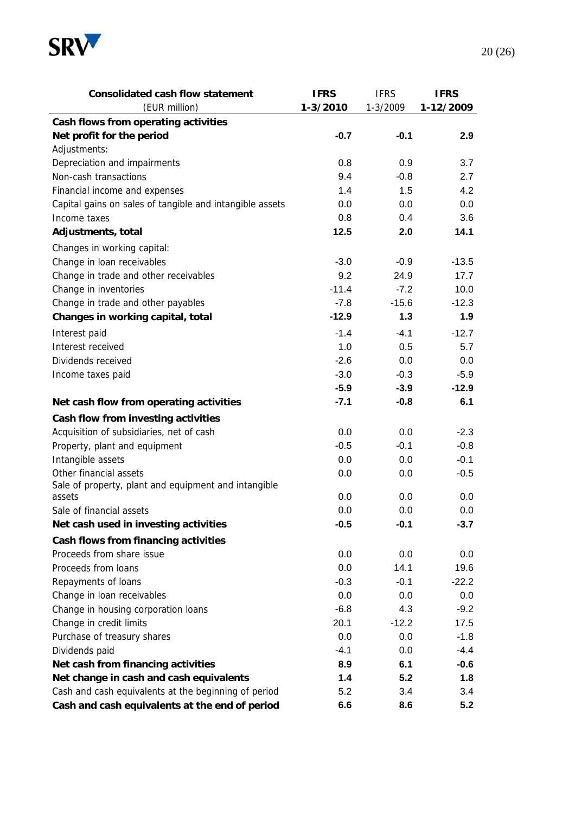

| <b>Consolidated cash flow statement</b>                  | <b>IFRS</b> | <b>IFRS</b> | <b>IFRS</b> |
|----------------------------------------------------------|-------------|-------------|-------------|
| (EUR million)                                            | 1-3/2010    | 1-3/2009    | 1-12/2009   |
| Cash flows from operating activities                     |             |             |             |
| Net profit for the period                                | $-0.7$      | $-0.1$      | 2.9         |
| Adjustments:                                             |             |             |             |
| Depreciation and impairments                             | 0.8         | 0.9         | 3.7         |
| Non-cash transactions                                    | 9.4         | $-0.8$      | 2.7         |
| Financial income and expenses                            | 1.4         | 1.5         | 4.2         |
| Capital gains on sales of tangible and intangible assets | 0.0         | 0.0         | 0.0         |
| Income taxes                                             | 0.8         | 0.4         | 3.6         |
| Adjustments, total                                       | 12.5        | 2.0         | 14.1        |
| Changes in working capital:                              |             |             |             |
| Change in loan receivables                               | $-3.0$      | $-0.9$      | $-13.5$     |
| Change in trade and other receivables                    | 9.2         | 24.9        | 17.7        |
| Change in inventories                                    | $-11.4$     | $-7.2$      | 10.0        |
| Change in trade and other payables                       | $-7.8$      | $-15.6$     | $-12.3$     |
| Changes in working capital, total                        | $-12.9$     | 1.3         | 1.9         |
| Interest paid                                            | $-1.4$      | $-4.1$      | $-12.7$     |
| Interest received                                        | 1.0         | 0.5         | 5.7         |
| Dividends received                                       | $-2.6$      | 0.0         | 0.0         |
| Income taxes paid                                        | $-3.0$      | $-0.3$      | $-5.9$      |
|                                                          | $-5.9$      | $-3.9$      | $-12.9$     |
| Net cash flow from operating activities                  | $-7.1$      | $-0.8$      | 6.1         |
| Cash flow from investing activities                      |             |             |             |
| Acquisition of subsidiaries, net of cash                 | 0.0         | 0.0         | $-2.3$      |
| Property, plant and equipment                            | $-0.5$      | $-0.1$      | $-0.8$      |
| Intangible assets                                        | 0.0         | 0.0         | $-0.1$      |
| Other financial assets                                   | 0.0         | 0.0         | $-0.5$      |
| Sale of property, plant and equipment and intangible     |             |             |             |
| assets                                                   | 0.0         | 0.0         | 0.0         |
| Sale of financial assets                                 | 0.0         | 0.0         | 0.0         |
| Net cash used in investing activities                    | $-0.5$      | -0.1        | -3.7        |
| Cash flows from financing activities                     |             |             |             |
| Proceeds from share issue                                | 0.0         | 0.0         | 0.0         |
| Proceeds from loans                                      | 0.0         | 14.1        | 19.6        |
| Repayments of loans                                      | $-0.3$      | $-0.1$      | $-22.2$     |
| Change in loan receivables                               | 0.0         | 0.0         | 0.0         |
| Change in housing corporation loans                      | $-6.8$      | 4.3         | $-9.2$      |
| Change in credit limits                                  | 20.1        | $-12.2$     | 17.5        |
| Purchase of treasury shares                              | 0.0         | 0.0         | $-1.8$      |
| Dividends paid                                           | $-4.1$      | 0.0         | $-4.4$      |
| Net cash from financing activities                       | 8.9         | 6.1         | $-0.6$      |
| Net change in cash and cash equivalents                  | 1.4         | 5.2         | 1.8         |
| Cash and cash equivalents at the beginning of period     | 5.2         | 3.4         | 3.4         |
| Cash and cash equivalents at the end of period           | 6.6         | 8.6         | 5.2         |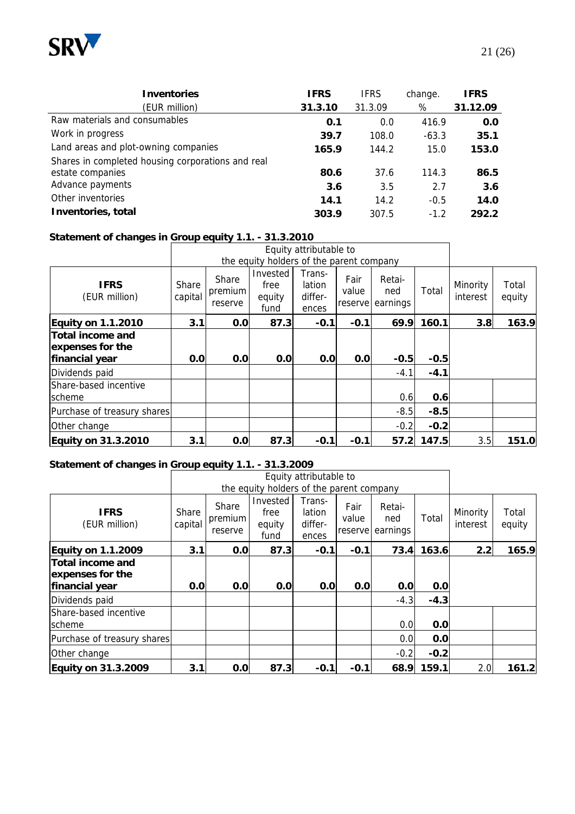

| <b>Inventories</b>                                | <b>IFRS</b> | <b>IFRS</b> | change. | <b>IFRS</b> |
|---------------------------------------------------|-------------|-------------|---------|-------------|
| (EUR million)                                     | 31.3.10     | 31.3.09     | %       | 31.12.09    |
| Raw materials and consumables                     | 0.1         | 0.0         | 416.9   | 0.0         |
| Work in progress                                  | 39.7        | 108.0       | $-63.3$ | 35.1        |
| Land areas and plot-owning companies              | 165.9       | 144.2       | 15.0    | 153.0       |
| Shares in completed housing corporations and real |             |             |         |             |
| estate companies                                  | 80.6        | 37.6        | 114.3   | 86.5        |
| Advance payments                                  | 3.6         | 3.5         | 2.7     | 3.6         |
| Other inventories                                 | 14.1        | 14.2        | $-0.5$  | 14.0        |
| Inventories, total                                | 303.9       | 307.5       | $-1.2$  | 292.2       |

#### **Statement of changes in Group equity 1.1. - 31.3.2010**

|                                                               |                  |                             |                                          | Equity attributable to               |               |                                   |        |                      |                 |
|---------------------------------------------------------------|------------------|-----------------------------|------------------------------------------|--------------------------------------|---------------|-----------------------------------|--------|----------------------|-----------------|
|                                                               |                  |                             | the equity holders of the parent company |                                      |               |                                   |        |                      |                 |
| <b>IFRS</b><br>(EUR million)                                  | Share<br>capital | Share<br>premium<br>reserve | Invested<br>free<br>equity<br>fund       | Trans-<br>lation<br>differ-<br>ences | Fair<br>value | Retai-<br>ned<br>reserve earnings | Total  | Minority<br>interest | Total<br>equity |
| <b>Equity on 1.1.2010</b>                                     | 3.1              | 0.0                         | 87.3                                     | $-0.1$                               | $-0.1$        | 69.9                              | 160.1  | 3.8                  | 163.9           |
| <b>Total income and</b><br>expenses for the<br>financial year | 0.0              | 0.0                         | 0.0                                      | 0.0                                  | 0.0           | $-0.5$                            | $-0.5$ |                      |                 |
| Dividends paid                                                |                  |                             |                                          |                                      |               | $-4.1$                            | $-4.1$ |                      |                 |
| <b>Share-based incentive</b><br>scheme                        |                  |                             |                                          |                                      |               | 0.6                               | 0.6    |                      |                 |
| Purchase of treasury shares                                   |                  |                             |                                          |                                      |               | $-8.5$                            | $-8.5$ |                      |                 |
| Other change                                                  |                  |                             |                                          |                                      |               | $-0.2$                            | $-0.2$ |                      |                 |
| <b>Equity on 31.3.2010</b>                                    | 3.1              | 0.0                         | 87.3                                     | $-0.1$                               | $-0.1$        | 57.2                              | 147.5  | 3.5                  | 151.0           |

#### **Statement of changes in Group equity 1.1. - 31.3.2009**

|                                                               |                  |                             |                                          | Equity attributable to               |                          |                           |        |                      |                 |
|---------------------------------------------------------------|------------------|-----------------------------|------------------------------------------|--------------------------------------|--------------------------|---------------------------|--------|----------------------|-----------------|
|                                                               |                  |                             | the equity holders of the parent company |                                      |                          |                           |        |                      |                 |
| <b>IFRS</b><br>(EUR million)                                  | Share<br>capital | Share<br>premium<br>reserve | Invested<br>free<br>equity<br>fund       | Trans-<br>lation<br>differ-<br>ences | Fair<br>value<br>reserve | Retai-<br>ned<br>earnings | Total  | Minority<br>interest | Total<br>equity |
| <b>Equity on 1.1.2009</b>                                     | 3.1              | 0.0                         | 87.3                                     | $-0.1$                               | $-0.1$                   | 73.4                      | 163.6  | 2.2                  | 165.9           |
| <b>Total income and</b><br>expenses for the<br>financial year | 0.0              | 0.0                         | 0.0                                      | 0.0                                  | 0.0                      | 0.0                       | 0.0    |                      |                 |
| Dividends paid                                                |                  |                             |                                          |                                      |                          | $-4.3$                    | $-4.3$ |                      |                 |
| Share-based incentive<br>scheme                               |                  |                             |                                          |                                      |                          | 0.0                       | 0.0    |                      |                 |
| Purchase of treasury shares                                   |                  |                             |                                          |                                      |                          | 0.0                       | 0.0    |                      |                 |
| Other change                                                  |                  |                             |                                          |                                      |                          | $-0.2$                    | $-0.2$ |                      |                 |
| <b>Equity on 31.3.2009</b>                                    | 3.1              | 0.0                         | 87.3                                     | $-0.1$                               | $-0.1$                   | 68.9                      | 159.1  | 2.0                  | 161.2           |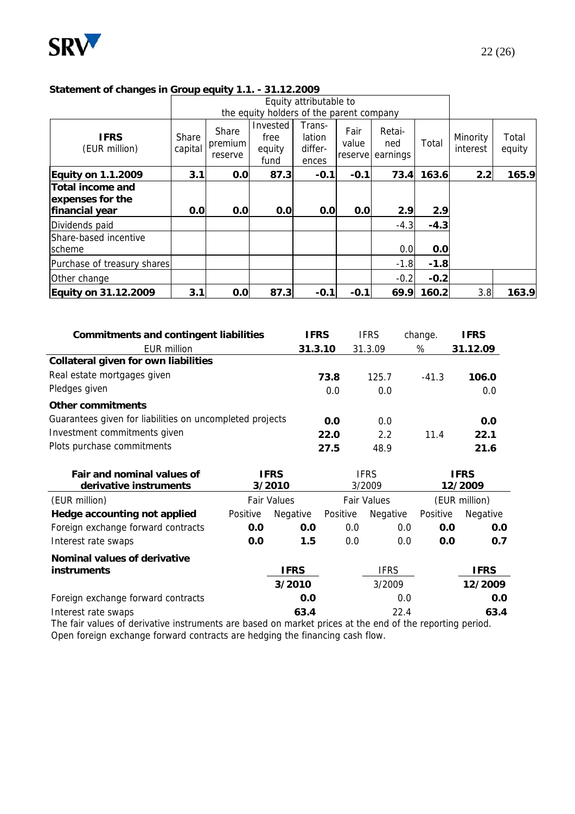

#### **Statement of changes in Group equity 1.1. - 31.12.2009**

|                                                        |                  |                             |                                          | Equity attributable to               |                          |                           |        |                      |                 |
|--------------------------------------------------------|------------------|-----------------------------|------------------------------------------|--------------------------------------|--------------------------|---------------------------|--------|----------------------|-----------------|
|                                                        |                  |                             | the equity holders of the parent company |                                      |                          |                           |        |                      |                 |
| <b>IFRS</b><br>(EUR million)                           | Share<br>capital | Share<br>premium<br>reserve | Invested<br>free<br>equity<br>fund       | Trans-<br>lation<br>differ-<br>ences | Fair<br>value<br>reserve | Retai-<br>ned<br>earnings | Total  | Minority<br>interest | Total<br>equity |
| <b>Equity on 1.1.2009</b>                              | 3.1              | 0.0                         | 87.3                                     | $-0.1$                               | $-0.1$                   | 73.4                      | 163.6  | 2.2                  | 165.9           |
| Total income and<br>expenses for the<br>financial year | 0.0              | 0.0                         | 0.0                                      | 0.0                                  | 0.0                      | 2.9                       | 2.9    |                      |                 |
| Dividends paid                                         |                  |                             |                                          |                                      |                          | $-4.3$                    | $-4.3$ |                      |                 |
| Share-based incentive<br>scheme                        |                  |                             |                                          |                                      |                          | 0.0                       | 0.0    |                      |                 |
| Purchase of treasury shares                            |                  |                             |                                          |                                      |                          | $-1.8$                    | $-1.8$ |                      |                 |
| Other change                                           |                  |                             |                                          |                                      |                          | $-0.2$                    | $-0.2$ |                      |                 |
| Equity on 31.12.2009                                   | 3.1              | 0.0                         | 87.3                                     | $-0.1$                               | $-0.1$                   | 69.9                      | 160.2  | 3.8                  | 163.9           |

| <b>Commitments and contingent liabilities</b>            | <b>IFRS</b> | <b>IFRS</b> | change. | <b>IFRS</b> |
|----------------------------------------------------------|-------------|-------------|---------|-------------|
| <b>EUR million</b>                                       | 31.3.10     | 31.3.09     | %       | 31.12.09    |
| <b>Collateral given for own liabilities</b>              |             |             |         |             |
| Real estate mortgages given                              | 73.8        | 125.7       | $-41.3$ | 106.0       |
| Pledges given                                            | 0.0         | 0.0         |         | 0.0         |
| Other commitments                                        |             |             |         |             |
| Guarantees given for liabilities on uncompleted projects | 0.0         | 0.0         |         | 0.0         |
| Investment commitments given                             | 22.0        | 2.2         | 11.4    | 22.1        |
| Plots purchase commitments                               | 27.5        | 48.9        |         | 21.6        |

| <b>Fair and nominal values of</b><br>derivative instruments | <b>IFRS</b><br><b>IFRS</b><br>3/2010<br>3/2009 |             |                    | <b>IFRS</b><br>12/2009 |               |             |
|-------------------------------------------------------------|------------------------------------------------|-------------|--------------------|------------------------|---------------|-------------|
| (EUR million)                                               | <b>Fair Values</b>                             |             | <b>Fair Values</b> |                        | (EUR million) |             |
| Hedge accounting not applied                                | Positive                                       | Negative    | Positive           | Negative               | Positive      | Negative    |
| Foreign exchange forward contracts                          | 0.0                                            | 0.0         | 0.0                | 0.0                    | 0.0           | 0.0         |
| Interest rate swaps                                         | 0.0                                            | 1.5         | 0.0                | 0.0                    | 0.0           | 0.7         |
| Nominal values of derivative<br>instruments                 |                                                | <b>IFRS</b> |                    | <b>IFRS</b>            |               | <b>IFRS</b> |
|                                                             |                                                | 3/2010      |                    | 3/2009                 |               | 12/2009     |
| Foreign exchange forward contracts                          |                                                | 0.0         |                    | 0.0                    |               | 0.0         |
| Interest rate swaps                                         |                                                | 63.4        |                    | 22.4                   |               | 63.4        |

The fair values of derivative instruments are based on market prices at the end of the reporting period. Open foreign exchange forward contracts are hedging the financing cash flow.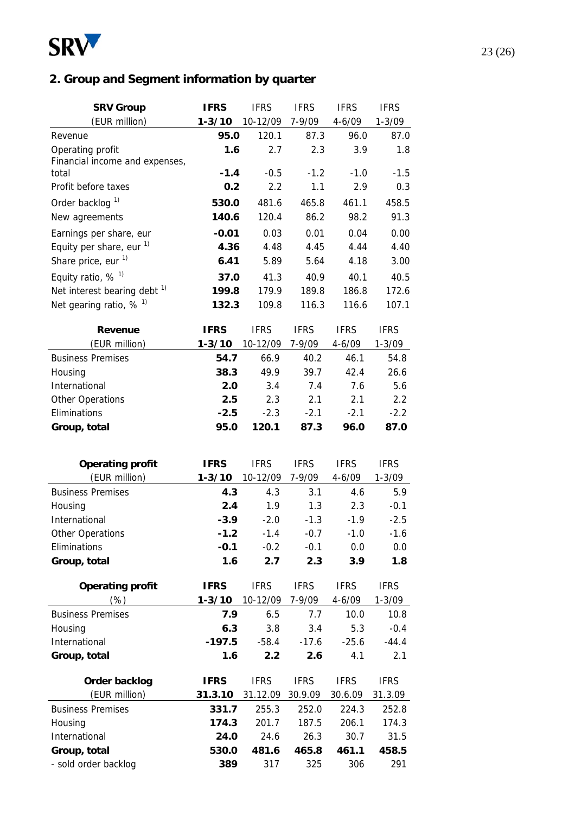

# **2. Group and Segment information by quarter**

| <b>SRV Group</b>                        | <b>IFRS</b> | <b>IFRS</b> | <b>IFRS</b> | <b>IFRS</b> | <b>IFRS</b> |
|-----------------------------------------|-------------|-------------|-------------|-------------|-------------|
| (EUR million)                           | $1 - 3/10$  | 10-12/09    | 7-9/09      | $4 - 6/09$  | $1 - 3/09$  |
| Revenue                                 | 95.0        | 120.1       | 87.3        | 96.0        | 87.0        |
| Operating profit                        | 1.6         | 2.7         | 2.3         | 3.9         | 1.8         |
| Financial income and expenses,          |             |             |             |             |             |
| total                                   | $-1.4$      | $-0.5$      | $-1.2$      | $-1.0$      | $-1.5$      |
| Profit before taxes                     | 0.2         | 2.2         | 1.1         | 2.9         | 0.3         |
| Order backlog <sup>1)</sup>             | 530.0       | 481.6       | 465.8       | 461.1       | 458.5       |
| New agreements                          | 140.6       | 120.4       | 86.2        | 98.2        | 91.3        |
| Earnings per share, eur                 | $-0.01$     | 0.03        | 0.01        | 0.04        | 0.00        |
| Equity per share, eur $1$ )             | 4.36        | 4.48        | 4.45        | 4.44        | 4.40        |
| Share price, eur <sup>1)</sup>          | 6.41        | 5.89        | 5.64        | 4.18        | 3.00        |
| Equity ratio, $%$ <sup>1)</sup>         | 37.0        | 41.3        | 40.9        | 40.1        | 40.5        |
| Net interest bearing debt <sup>1)</sup> | 199.8       | 179.9       | 189.8       | 186.8       | 172.6       |
| Net gearing ratio, $% ^{1}$             | 132.3       | 109.8       | 116.3       | 116.6       | 107.1       |
|                                         |             |             |             |             |             |
| <b>Revenue</b>                          | <b>IFRS</b> | <b>IFRS</b> | <b>IFRS</b> | <b>IFRS</b> | <b>IFRS</b> |
| (EUR million)                           | $1 - 3/10$  | 10-12/09    | 7-9/09      | $4 - 6/09$  | $1 - 3/09$  |
| <b>Business Premises</b>                | 54.7        | 66.9        | 40.2        | 46.1        | 54.8        |
| Housing                                 | 38.3        | 49.9        | 39.7        | 42.4        | 26.6        |
| International                           | 2.0         | 3.4         | 7.4         | 7.6         | 5.6         |
| <b>Other Operations</b>                 | 2.5         | 2.3         | 2.1         | 2.1         | 2.2         |
| Eliminations                            | $-2.5$      | $-2.3$      | $-2.1$      | $-2.1$      | $-2.2$      |
| Group, total                            | 95.0        | 120.1       | 87.3        | 96.0        | 87.0        |
|                                         |             |             |             |             |             |
| <b>Operating profit</b>                 | <b>IFRS</b> | <b>IFRS</b> | <b>IFRS</b> | <b>IFRS</b> | <b>IFRS</b> |
| (EUR million)                           | $1 - 3/10$  | 10-12/09    | 7-9/09      | $4 - 6/09$  | $1 - 3/09$  |
| <b>Business Premises</b>                | 4.3         | 4.3         | 3.1         | 4.6         | 5.9         |
| Housing                                 | 2.4         | 1.9         | 1.3         | 2.3         | $-0.1$      |
| International                           | $-3.9$      | $-2.0$      | $-1.3$      | $-1.9$      | $-2.5$      |
| <b>Other Operations</b>                 | $-1.2$      | $-1.4$      | $-0.7$      | $-1.0$      | $-1.6$      |
| Eliminations                            | $-0.1$      | $-0.2$      | $-0.1$      | 0.0         | 0.0         |
| Group, total                            | 1.6         | 2.7         | 2.3         | 3.9         | 1.8         |
|                                         |             |             |             |             |             |
| <b>Operating profit</b>                 | <b>IFRS</b> | <b>IFRS</b> | <b>IFRS</b> | <b>IFRS</b> | <b>IFRS</b> |
| $(\%)$                                  | $1 - 3/10$  | 10-12/09    | 7-9/09      | $4 - 6/09$  | $1 - 3/09$  |
| <b>Business Premises</b>                | 7.9         | 6.5         | 7.7         | 10.0        | 10.8        |
| Housing                                 | 6.3         | 3.8         | 3.4         | 5.3         | $-0.4$      |
| International                           | $-197.5$    | $-58.4$     | $-17.6$     | $-25.6$     | $-44.4$     |
| Group, total                            | 1.6         | 2.2         | 2.6         | 4.1         | 2.1         |
|                                         |             |             |             |             |             |
| Order backlog                           | <b>IFRS</b> | <b>IFRS</b> | <b>IFRS</b> | <b>IFRS</b> | <b>IFRS</b> |
| (EUR million)                           | 31.3.10     | 31.12.09    | 30.9.09     | 30.6.09     | 31.3.09     |
| <b>Business Premises</b>                | 331.7       | 255.3       | 252.0       | 224.3       | 252.8       |
| Housing                                 | 174.3       | 201.7       | 187.5       | 206.1       | 174.3       |
| International                           | 24.0        | 24.6        | 26.3        | 30.7        | 31.5        |
| Group, total                            | 530.0       | 481.6       | 465.8       | 461.1       | 458.5       |
| - sold order backlog                    | 389         | 317         | 325         | 306         | 291         |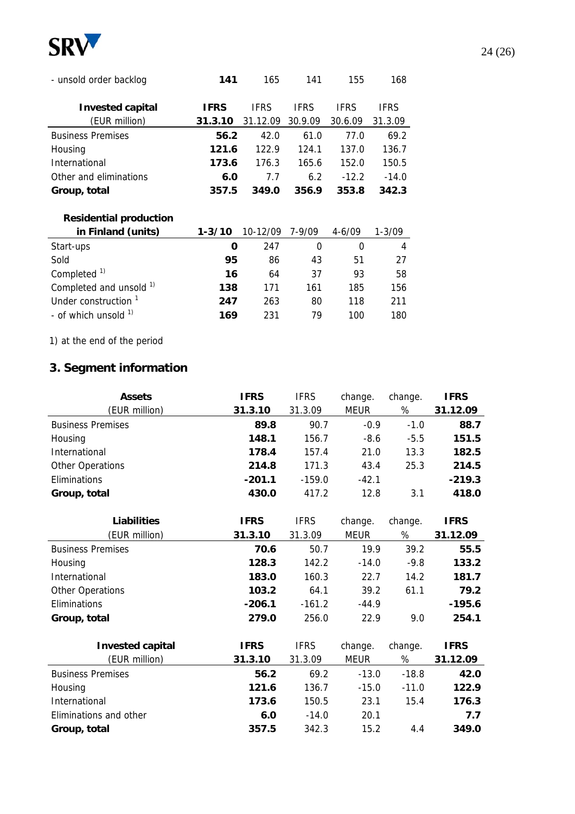

| - unsold order backlog        | 141         | 165         | 141         | 155         | 168         |  |
|-------------------------------|-------------|-------------|-------------|-------------|-------------|--|
| <b>Invested capital</b>       | <b>IFRS</b> | <b>IFRS</b> | <b>IFRS</b> | <b>IFRS</b> | <b>IFRS</b> |  |
| (EUR million)                 | 31.3.10     | 31.12.09    | 30.9.09     | 30.6.09     | 31.3.09     |  |
| <b>Business Premises</b>      | 56.2        | 42.0        | 61.0        | 77.0        | 69.2        |  |
| Housing                       | 121.6       | 122.9       | 124.1       | 137.0       | 136.7       |  |
| International                 | 173.6       | 176.3       | 165.6       | 152.0       | 150.5       |  |
| Other and eliminations        | 6.0         | 7.7         | 6.2         | $-12.2$     | $-14.0$     |  |
| Group, total                  | 357.5       | 349.0       | 356.9       | 353.8       | 342.3       |  |
| <b>Residential production</b> |             |             |             |             |             |  |
| in Finland (units)            | $1 - 3/10$  | 10-12/09    | 7-9/09      | $4 - 6/09$  | $1 - 3/09$  |  |
| Start-ups                     | O           | 247         | $\Omega$    | $\Omega$    | 4           |  |
| Sold                          | 95          | 86          | 43          | 51          | 27          |  |
| Completed <sup>1)</sup>       | 16          | 64          | 37          | 93          | 58          |  |

| Completed and unsold <sup>1)</sup> | 138 | -171 | 161  | 185  | 156. |
|------------------------------------|-----|------|------|------|------|
| Under construction 1               | 247 | 263  | 80.  | 118  | -211 |
| - of which unsold <sup>1)</sup>    | 169 | -231 | - 79 | 100. | 180. |
|                                    |     |      |      |      |      |

1) at the end of the period

### **3. Segment information**

| <b>Assets</b>            | <b>IFRS</b> | <b>IFRS</b> | change.     | change. | <b>IFRS</b> |
|--------------------------|-------------|-------------|-------------|---------|-------------|
| (EUR million)            | 31.3.10     | 31.3.09     | <b>MEUR</b> | $\%$    | 31.12.09    |
| <b>Business Premises</b> | 89.8        | 90.7        | $-0.9$      | $-1.0$  | 88.7        |
| Housing                  | 148.1       | 156.7       | $-8.6$      | $-5.5$  | 151.5       |
| International            | 178.4       | 157.4       | 21.0        | 13.3    | 182.5       |
| Other Operations         | 214.8       | 171.3       | 43.4        | 25.3    | 214.5       |
| Eliminations             | $-201.1$    | $-159.0$    | $-42.1$     |         | $-219.3$    |
| Group, total             | 430.0       | 417.2       | 12.8        | 3.1     | 418.0       |
|                          |             |             |             |         |             |
| <b>Liabilities</b>       | <b>IFRS</b> | <b>IFRS</b> | change.     | change. | <b>IFRS</b> |
| (EUR million)            | 31.3.10     | 31.3.09     | <b>MEUR</b> | %       | 31.12.09    |
| <b>Business Premises</b> | 70.6        | 50.7        | 19.9        | 39.2    | 55.5        |
| Housing                  | 128.3       | 142.2       | $-14.0$     | $-9.8$  | 133.2       |
| International            | 183.0       | 160.3       | 22.7        | 14.2    | 181.7       |
| <b>Other Operations</b>  | 103.2       | 64.1        | 39.2        | 61.1    | 79.2        |
| Eliminations             | $-206.1$    | $-161.2$    | $-44.9$     |         | $-195.6$    |
| Group, total             | 279.0       | 256.0       | 22.9        | 9.0     | 254.1       |
|                          |             |             |             |         |             |
| <b>Invested capital</b>  | <b>IFRS</b> | <b>IFRS</b> | change.     | change. | <b>IFRS</b> |
| (EUR million)            | 31.3.10     | 31.3.09     | <b>MEUR</b> | %       | 31.12.09    |
| <b>Business Premises</b> | 56.2        | 69.2        | $-13.0$     | $-18.8$ | 42.0        |
| Housing                  | 121.6       | 136.7       | $-15.0$     | $-11.0$ | 122.9       |
| International            | 173.6       | 150.5       | 23.1        | 15.4    | 176.3       |
| Eliminations and other   | 6.0         | $-14.0$     | 20.1        |         | 7.7         |
| Group, total             | 357.5       | 342.3       | 15.2        | 4.4     | 349.0       |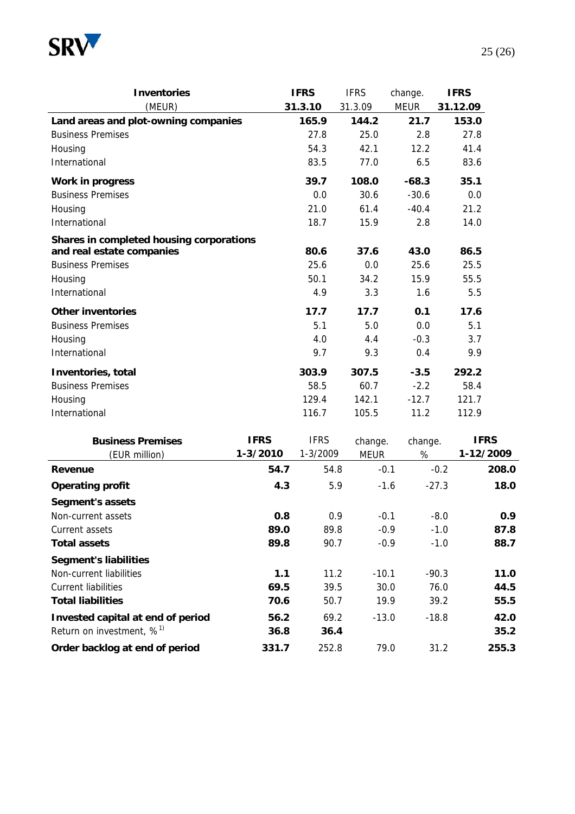

| <b>Inventories</b>                       |             | <b>IFRS</b> | <b>IFRS</b> | change.     | <b>IFRS</b>     |
|------------------------------------------|-------------|-------------|-------------|-------------|-----------------|
| (MEUR)                                   |             | 31.3.10     | 31.3.09     | <b>MEUR</b> | 31.12.09        |
| Land areas and plot-owning companies     |             | 165.9       | 144.2       | 21.7        | 153.0           |
| <b>Business Premises</b>                 |             | 27.8        | 25.0        | 2.8         | 27.8            |
| Housing                                  |             | 54.3        | 42.1        | 12.2        | 41.4            |
| International                            |             | 83.5        | 77.0        | 6.5         | 83.6            |
| Work in progress                         |             | 39.7        | 108.0       | $-68.3$     | 35.1            |
| <b>Business Premises</b>                 |             | 0.0         | 30.6        | $-30.6$     | 0.0             |
| Housing                                  |             | 21.0        | 61.4        | $-40.4$     | 21.2            |
| International                            |             | 18.7        | 15.9        | 2.8         | 14.0            |
| Shares in completed housing corporations |             |             |             |             |                 |
| and real estate companies                |             | 80.6        | 37.6        | 43.0        | 86.5            |
| <b>Business Premises</b>                 |             | 25.6        | 0.0         | 25.6        | 25.5            |
| Housing                                  |             | 50.1        | 34.2        | 15.9        | 55.5            |
| International                            |             | 4.9         | 3.3         | 1.6         | 5.5             |
| <b>Other inventories</b>                 |             | 17.7        | 17.7        | 0.1         | 17.6            |
| <b>Business Premises</b>                 |             | 5.1         | 5.0         | 0.0         | 5.1             |
| Housing                                  |             | 4.0         | 4.4         | $-0.3$      | 3.7             |
| International                            |             | 9.7         | 9.3         | 0.4         | 9.9             |
| Inventories, total                       |             | 303.9       | 307.5       | $-3.5$      | 292.2           |
| <b>Business Premises</b>                 |             | 58.5        | 60.7        | $-2.2$      | 58.4            |
| Housing                                  |             | 129.4       | 142.1       | $-12.7$     | 121.7           |
| International                            |             | 116.7       | 105.5       | 11.2        | 112.9           |
| <b>Business Premises</b>                 | <b>IFRS</b> | <b>IFRS</b> | change.     | change.     | <b>IFRS</b>     |
| (EUR million)                            | 1-3/2010    | 1-3/2009    | <b>MEUR</b> | %           | 1-12/2009       |
| Revenue                                  | 54.7        | 54.8        | $-0.1$      |             | $-0.2$<br>208.0 |
| <b>Operating profit</b>                  | 4.3         | 5.9         | $-1.6$      | $-27.3$     | 18.0            |
| <b>Segment's assets</b>                  |             |             |             |             |                 |
| Non-current assets                       | 0.8         | 0.9         | $-0.1$      |             | $-8.0$<br>0.9   |
| Current assets                           | 89.0        | 89.8        | $-0.9$      |             | $-1.0$<br>87.8  |
| <b>Total assets</b>                      | 89.8        | 90.7        | $-0.9$      |             | $-1.0$<br>88.7  |
| <b>Segment's liabilities</b>             |             |             |             |             |                 |

Non-current liabilities **1.1** 11.2 -10.1 -90.3 **11.0** Current liabilities **69.5** 39.5 30.0 76.0 **44.5 Total liabilities 70.6** 50.7 19.9 39.2 **55.5 Invested capital at end of period 56.2** 69.2 -13.0 -18.8 **42.0** Return on investment, %1) **36.8 36.4 35.2 Order backlog at end of period 331.7** 252.8 79.0 31.2 **255.3**